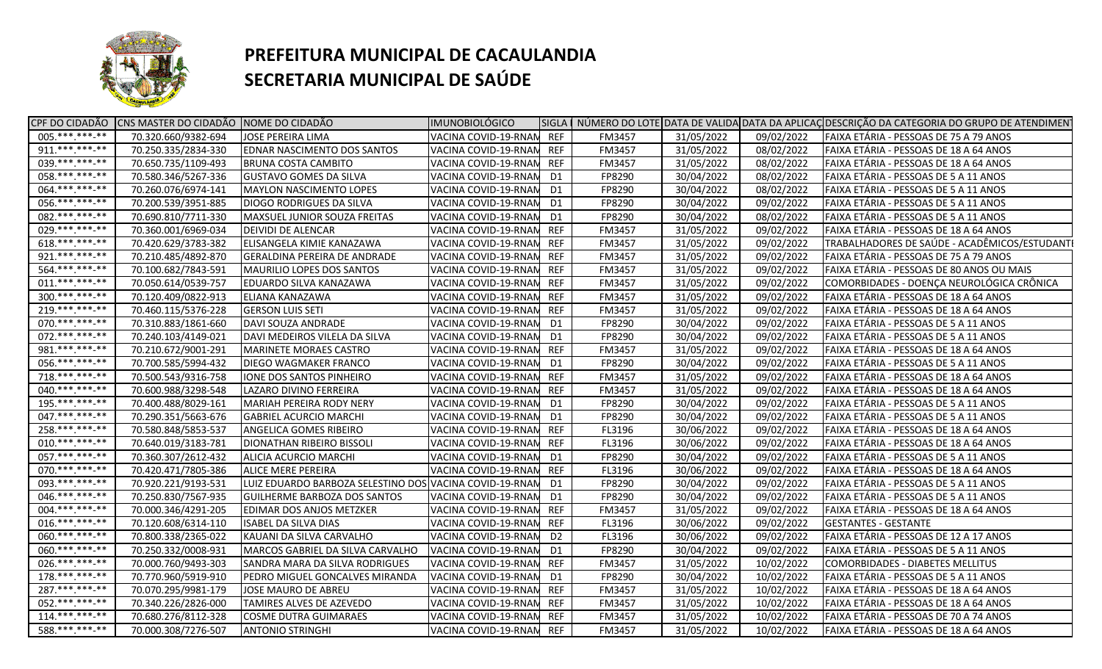

|                  | CPF DO CIDADÃO CNS MASTER DO CIDADÃO NOME DO CIDADÃO |                                     | <b>IMUNOBIOLÓGICO</b> |                |               |            |            | SIGLA   NÚMERO DO LOTE DATA DE VALIDA DATA DA APLICAÇ DESCRIÇÃO DA CATEGORIA DO GRUPO DE ATENDIMEN |
|------------------|------------------------------------------------------|-------------------------------------|-----------------------|----------------|---------------|------------|------------|----------------------------------------------------------------------------------------------------|
| $005.*********$  | 70.320.660/9382-694                                  | <b>JOSE PEREIRA LIMA</b>            | VACINA COVID-19-RNAN  | <b>REF</b>     | FM3457        | 31/05/2022 | 09/02/2022 | FAIXA ETÁRIA - PESSOAS DE 75 A 79 ANOS                                                             |
| $911.****.*****$ | 70.250.335/2834-330                                  | <b>EDNAR NASCIMENTO DOS SANTOS</b>  | VACINA COVID-19-RNAN  | <b>REF</b>     | FM3457        | 31/05/2022 | 08/02/2022 | FAIXA ETÁRIA - PESSOAS DE 18 A 64 ANOS                                                             |
| 039.**********   | 70.650.735/1109-493                                  | <b>BRUNA COSTA CAMBITO</b>          | VACINA COVID-19-RNAN  | <b>REF</b>     | FM3457        | 31/05/2022 | 08/02/2022 | FAIXA ETÁRIA - PESSOAS DE 18 A 64 ANOS                                                             |
| 058.**********   | 70.580.346/5267-336                                  | <b>GUSTAVO GOMES DA SILVA</b>       | VACINA COVID-19-RNAN  | D <sub>1</sub> | FP8290        | 30/04/2022 | 08/02/2022 | FAIXA ETÁRIA - PESSOAS DE 5 A 11 ANOS                                                              |
| 064.**********   | 70.260.076/6974-141                                  | <b>MAYLON NASCIMENTO LOPES</b>      | VACINA COVID-19-RNAN  | D1             | FP8290        | 30/04/2022 | 08/02/2022 | FAIXA ETÁRIA - PESSOAS DE 5 A 11 ANOS                                                              |
| 056. *** *** **  | 70.200.539/3951-885                                  | DIOGO RODRIGUES DA SILVA            | VACINA COVID-19-RNAN  | D1             | FP8290        | 30/04/2022 | 09/02/2022 | FAIXA ETÁRIA - PESSOAS DE 5 A 11 ANOS                                                              |
| 082. *** *** -** | 70.690.810/7711-330                                  | MAXSUEL JUNIOR SOUZA FREITAS        | VACINA COVID-19-RNAN  | D1             | FP8290        | 30/04/2022 | 08/02/2022 | FAIXA ETÁRIA - PESSOAS DE 5 A 11 ANOS                                                              |
| 029.**********   | 70.360.001/6969-034                                  | <b>DEIVIDI DE ALENCAR</b>           | VACINA COVID-19-RNAN  | <b>REF</b>     | FM3457        | 31/05/2022 | 09/02/2022 | FAIXA ETÁRIA - PESSOAS DE 18 A 64 ANOS                                                             |
| 618.**********   | 70.420.629/3783-382                                  | ELISANGELA KIMIE KANAZAWA           | VACINA COVID-19-RNAN  | <b>REF</b>     | <b>FM3457</b> | 31/05/2022 | 09/02/2022 | TRABALHADORES DE SAÚDE - ACADÊMICOS/ESTUDANTI                                                      |
| 921. *** *** -** | 70.210.485/4892-870                                  | <b>GERALDINA PEREIRA DE ANDRADE</b> | VACINA COVID-19-RNAN  | <b>REF</b>     | FM3457        | 31/05/2022 | 09/02/2022 | FAIXA ETÁRIA - PESSOAS DE 75 A 79 ANOS                                                             |
| 564.**********   | 70.100.682/7843-591                                  | <b>MAURILIO LOPES DOS SANTOS</b>    | VACINA COVID-19-RNAN  | <b>REF</b>     | FM3457        | 31/05/2022 | 09/02/2022 | FAIXA ETÁRIA - PESSOAS DE 80 ANOS OU MAIS                                                          |
| $011.****.**.**$ | 70.050.614/0539-757                                  | <b>EDUARDO SILVA KANAZAWA</b>       | VACINA COVID-19-RNAN  | <b>REF</b>     | FM3457        | 31/05/2022 | 09/02/2022 | COMORBIDADES - DOENÇA NEUROLÓGICA CRÔNICA                                                          |
| $300.*******-**$ | 70.120.409/0822-913                                  | ELIANA KANAZAWA                     | VACINA COVID-19-RNAN  | <b>REF</b>     | FM3457        | 31/05/2022 | 09/02/2022 | FAIXA ETÁRIA - PESSOAS DE 18 A 64 ANOS                                                             |
| $219.*******.**$ | 70.460.115/5376-228                                  | <b>GERSON LUIS SETI</b>             | VACINA COVID-19-RNAN  | <b>REF</b>     | FM3457        | 31/05/2022 | 09/02/2022 | FAIXA ETÁRIA - PESSOAS DE 18 A 64 ANOS                                                             |
| 070.***.***-**   | 70.310.883/1861-660                                  | DAVI SOUZA ANDRADE                  | VACINA COVID-19-RNAN  | D1             | FP8290        | 30/04/2022 | 09/02/2022 | FAIXA ETÁRIA - PESSOAS DE 5 A 11 ANOS                                                              |
| 072. *** *** -** | 70.240.103/4149-021                                  | DAVI MEDEIROS VILELA DA SILVA       | VACINA COVID-19-RNAN  | D1             | FP8290        | 30/04/2022 | 09/02/2022 | FAIXA ETÁRIA - PESSOAS DE 5 A 11 ANOS                                                              |
| 981.***.***-**   | 70.210.672/9001-291                                  | <b>MARINETE MORAES CASTRO</b>       | VACINA COVID-19-RNAN  | <b>REF</b>     | FM3457        | 31/05/2022 | 09/02/2022 | FAIXA ETÁRIA - PESSOAS DE 18 A 64 ANOS                                                             |
| 056.***.***-**   | 70.700.585/5994-432                                  | DIEGO WAGMAKER FRANCO               | VACINA COVID-19-RNAN  | D1             | FP8290        | 30/04/2022 | 09/02/2022 | FAIXA ETÁRIA - PESSOAS DE 5 A 11 ANOS                                                              |
| 718.*********    | 70.500.543/9316-758                                  | <b>IONE DOS SANTOS PINHEIRO</b>     | VACINA COVID-19-RNAN  | <b>REF</b>     | FM3457        | 31/05/2022 | 09/02/2022 | FAIXA ETÁRIA - PESSOAS DE 18 A 64 ANOS                                                             |
| 040.**********   | 70.600.988/3298-548                                  | LAZARO DIVINO FERREIRA              | VACINA COVID-19-RNAN  | <b>REF</b>     | FM3457        | 31/05/2022 | 09/02/2022 | FAIXA ETÁRIA - PESSOAS DE 18 A 64 ANOS                                                             |
| $195.*********$  | 70.400.488/8029-161                                  | <b>MARIAH PEREIRA RODY NERY</b>     | VACINA COVID-19-RNAN  | D1             | FP8290        | 30/04/2022 | 09/02/2022 | FAIXA ETÁRIA - PESSOAS DE 5 A 11 ANOS                                                              |
| 047.**********   | 70.290.351/5663-676                                  | <b>GABRIEL ACURCIO MARCHI</b>       | VACINA COVID-19-RNAN  | D1             | FP8290        | 30/04/2022 | 09/02/2022 | FAIXA ETÁRIA - PESSOAS DE 5 A 11 ANOS                                                              |
| $258.*******-*$  | 70.580.848/5853-537                                  | <b>ANGELICA GOMES RIBEIRO</b>       | VACINA COVID-19-RNAN  | <b>REF</b>     | FL3196        | 30/06/2022 | 09/02/2022 | FAIXA ETÁRIA - PESSOAS DE 18 A 64 ANOS                                                             |
| $010.****.*****$ | 70.640.019/3183-781                                  | <b>DIONATHAN RIBEIRO BISSOLI</b>    | VACINA COVID-19-RNAN  | <b>REF</b>     | FL3196        | 30/06/2022 | 09/02/2022 | FAIXA ETÁRIA - PESSOAS DE 18 A 64 ANOS                                                             |
| 057. *** *** -** | 70.360.307/2612-432                                  | ALICIA ACURCIO MARCHI               | VACINA COVID-19-RNAN  | D <sub>1</sub> | FP8290        | 30/04/2022 | 09/02/2022 | FAIXA ETÁRIA - PESSOAS DE 5 A 11 ANOS                                                              |
| 070.**********   | 70.420.471/7805-386                                  | ALICE MERE PEREIRA                  | VACINA COVID-19-RNAN  | <b>REF</b>     | FL3196        | 30/06/2022 | 09/02/2022 | FAIXA ETÁRIA - PESSOAS DE 18 A 64 ANOS                                                             |
| 093. *** *** -** | 70.920.221/9193-531                                  | LUIZ EDUARDO BARBOZA SELESTINO DOS  | VACINA COVID-19-RNAN  | D <sub>1</sub> | FP8290        | 30/04/2022 | 09/02/2022 | FAIXA ETÁRIA - PESSOAS DE 5 A 11 ANOS                                                              |
| 046.***.***-**   | 70.250.830/7567-935                                  | <b>GUILHERME BARBOZA DOS SANTOS</b> | VACINA COVID-19-RNAN  | D1             | FP8290        | 30/04/2022 | 09/02/2022 | FAIXA ETÁRIA - PESSOAS DE 5 A 11 ANOS                                                              |
| 004.***.***-**   | 70.000.346/4291-205                                  | <b>EDIMAR DOS ANJOS METZKER</b>     | VACINA COVID-19-RNAN  | <b>REF</b>     | FM3457        | 31/05/2022 | 09/02/2022 | FAIXA ETÁRIA - PESSOAS DE 18 A 64 ANOS                                                             |
| 016.**********   | 70.120.608/6314-110                                  | <b>ISABEL DA SILVA DIAS</b>         | VACINA COVID-19-RNAN  | <b>REF</b>     | FL3196        | 30/06/2022 | 09/02/2022 | <b>IGESTANTES - GESTANTE</b>                                                                       |
| 060.***.***.**   | 70.800.338/2365-022                                  | KAUANI DA SILVA CARVALHO            | VACINA COVID-19-RNAN  | D <sub>2</sub> | FL3196        | 30/06/2022 | 09/02/2022 | FAIXA ETÁRIA - PESSOAS DE 12 A 17 ANOS                                                             |
| 060.**********   | 70.250.332/0008-931                                  | MARCOS GABRIEL DA SILVA CARVALHO    | VACINA COVID-19-RNAM  | D1             | FP8290        | 30/04/2022 | 09/02/2022 | FAIXA ETÁRIA - PESSOAS DE 5 A 11 ANOS                                                              |
| 026.***.***-**   | 70.000.760/9493-303                                  | SANDRA MARA DA SILVA RODRIGUES      | VACINA COVID-19-RNAN  | <b>REF</b>     | FM3457        | 31/05/2022 | 10/02/2022 | COMORBIDADES - DIABETES MELLITUS                                                                   |
| $178.*******.**$ | 70.770.960/5919-910                                  | PEDRO MIGUEL GONCALVES MIRANDA      | VACINA COVID-19-RNAN  | D1             | FP8290        | 30/04/2022 | 10/02/2022 | FAIXA ETÁRIA - PESSOAS DE 5 A 11 ANOS                                                              |
| $287.*******.**$ | 70.070.295/9981-179                                  | JOSE MAURO DE ABREU                 | VACINA COVID-19-RNAN  | <b>REF</b>     | FM3457        | 31/05/2022 | 10/02/2022 | FAIXA ETÁRIA - PESSOAS DE 18 A 64 ANOS                                                             |
| 052.***.***-**   | 70.340.226/2826-000                                  | TAMIRES ALVES DE AZEVEDO            | VACINA COVID-19-RNAN  | <b>REF</b>     | FM3457        | 31/05/2022 | 10/02/2022 | FAIXA ETÁRIA - PESSOAS DE 18 A 64 ANOS                                                             |
| $114.*******.**$ | 70.680.276/8112-328                                  | <b>COSME DUTRA GUIMARAES</b>        | VACINA COVID-19-RNAN  | <b>REF</b>     | FM3457        | 31/05/2022 | 10/02/2022 | FAIXA ETÁRIA - PESSOAS DE 70 A 74 ANOS                                                             |
| 588.***.***-**   | 70.000.308/7276-507                                  | <b>ANTONIO STRINGHI</b>             | VACINA COVID-19-RNAN  | <b>REF</b>     | FM3457        | 31/05/2022 | 10/02/2022 | FAIXA ETÁRIA - PESSOAS DE 18 A 64 ANOS                                                             |
|                  |                                                      |                                     |                       |                |               |            |            |                                                                                                    |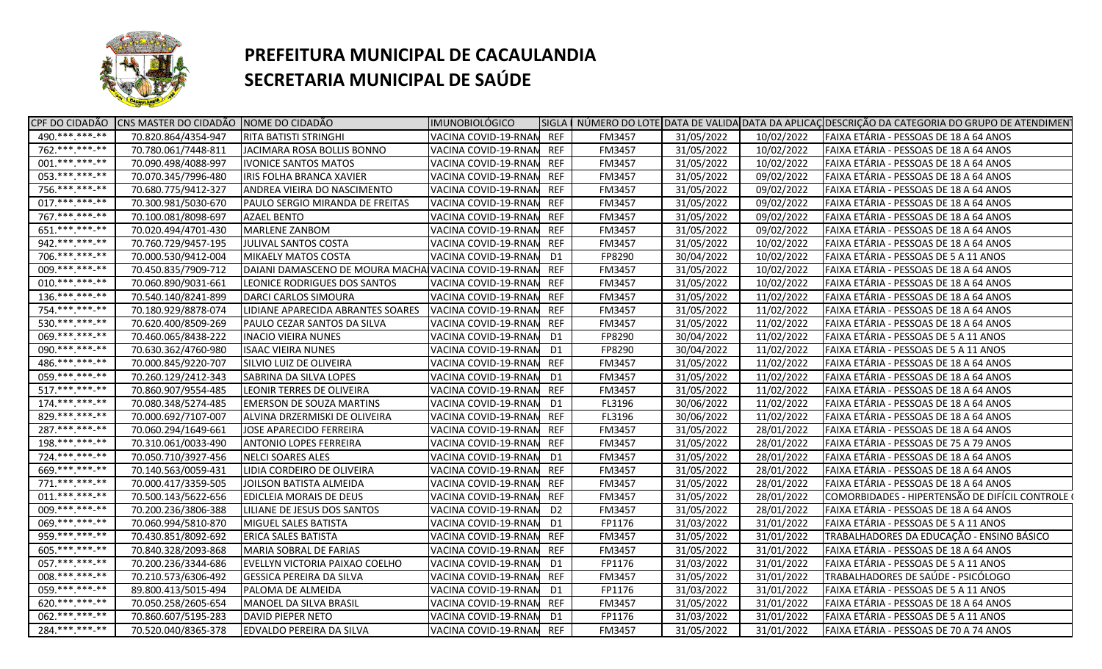

| 70.820.864/4354-947<br><b>RITA BATISTI STRINGHI</b><br>VACINA COVID-19-RNAN REF<br>FM3457<br>31/05/2022<br>10/02/2022<br>FAIXA ETÁRIA - PESSOAS DE 18 A 64 ANOS<br>762.*******-**<br>31/05/2022<br>70.780.061/7448-811<br>JACIMARA ROSA BOLLIS BONNO<br>VACINA COVID-19-RNAN<br><b>REF</b><br>FM3457<br>10/02/2022<br>FAIXA ETÁRIA - PESSOAS DE 18 A 64 ANOS<br>$001.****.***_{-*}$<br>70.090.498/4088-997<br>VACINA COVID-19-RNAN<br>31/05/2022<br>FAIXA ETÁRIA - PESSOAS DE 18 A 64 ANOS<br><b>IVONICE SANTOS MATOS</b><br><b>REF</b><br>FM3457<br>10/02/2022<br>053. *** *** **<br>70.070.345/7996-480<br>VACINA COVID-19-RNAN<br><b>REF</b><br>FM3457<br>31/05/2022<br>09/02/2022<br>FAIXA ETÁRIA - PESSOAS DE 18 A 64 ANOS<br>IRIS FOLHA BRANCA XAVIER<br>756.**********<br>70.680.775/9412-327<br>31/05/2022<br>FAIXA ETÁRIA - PESSOAS DE 18 A 64 ANOS<br>ANDREA VIEIRA DO NASCIMENTO<br>VACINA COVID-19-RNAN<br><b>REF</b><br>FM3457<br>09/02/2022<br>017. *** *** -**<br>70.300.981/5030-670<br>PAULO SERGIO MIRANDA DE FREITAS<br>VACINA COVID-19-RNAN<br><b>REF</b><br>FM3457<br>31/05/2022<br>09/02/2022<br>FAIXA ETÁRIA - PESSOAS DE 18 A 64 ANOS<br>767.***.***.**<br>70.100.081/8098-697<br><b>AZAEL BENTO</b><br>VACINA COVID-19-RNAM<br><b>REF</b><br>FM3457<br>31/05/2022<br>09/02/2022<br>FAIXA ETÁRIA - PESSOAS DE 18 A 64 ANOS<br>$651.****.**.**$<br>70.020.494/4701-430<br><b>MARLENE ZANBOM</b><br>FM3457<br>31/05/2022<br>09/02/2022<br>FAIXA ETÁRIA - PESSOAS DE 18 A 64 ANOS<br>VACINA COVID-19-RNAM<br><b>REF</b><br>942.**********<br>70.760.729/9457-195<br><b>REF</b><br>FM3457<br>31/05/2022<br>10/02/2022<br>JULIVAL SANTOS COSTA<br>VACINA COVID-19-RNAN<br>FAIXA ETÁRIA - PESSOAS DE 18 A 64 ANOS<br>706.*******-**<br>70.000.530/9412-004<br><b>MIKAELY MATOS COSTA</b><br>VACINA COVID-19-RNAN<br>FP8290<br>30/04/2022<br>10/02/2022<br>FAIXA ETÁRIA - PESSOAS DE 5 A 11 ANOS<br>D1<br>009. *** *** -**<br>70.450.835/7909-712<br>31/05/2022<br>10/02/2022<br>FAIXA ETÁRIA - PESSOAS DE 18 A 64 ANOS<br>DAIANI DAMASCENO DE MOURA MACHA VACINA COVID-19-RNAN<br><b>REF</b><br>FM3457<br>$010.*******-**$<br>FAIXA ETÁRIA - PESSOAS DE 18 A 64 ANOS<br>70.060.890/9031-661<br>LEONICE RODRIGUES DOS SANTOS<br>VACINA COVID-19-RNAM<br><b>REF</b><br>FM3457<br>31/05/2022<br>10/02/2022<br>$136.*******.**$<br>FAIXA ETÁRIA - PESSOAS DE 18 A 64 ANOS<br>70.540.140/8241-899<br>DARCI CARLOS SIMOURA<br>VACINA COVID-19-RNAM<br>REF<br>FM3457<br>31/05/2022<br>11/02/2022<br>754.***.***-**<br>70.180.929/8878-074<br>LIDIANE APARECIDA ABRANTES SOARES<br>VACINA COVID-19-RNAN<br>FM3457<br>31/05/2022<br>11/02/2022<br>FAIXA ETÁRIA - PESSOAS DE 18 A 64 ANOS<br>REF<br>530.***.***.**<br>70.620.400/8509-269<br>FAIXA ETÁRIA - PESSOAS DE 18 A 64 ANOS<br>PAULO CEZAR SANTOS DA SILVA<br>VACINA COVID-19-RNAN<br><b>REF</b><br>FM3457<br>31/05/2022<br>11/02/2022<br>069. *** *** -**<br>70.460.065/8438-222<br>30/04/2022<br>11/02/2022<br>FAIXA ETÁRIA - PESSOAS DE 5 A 11 ANOS<br><b>INACIO VIEIRA NUNES</b><br>VACINA COVID-19-RNAM<br>FP8290<br>D1<br>090.***.***-**<br>70.630.362/4760-980<br>11/02/2022<br>FAIXA ETÁRIA - PESSOAS DE 5 A 11 ANOS<br><b>ISAAC VIEIRA NUNES</b><br>VACINA COVID-19-RNAN<br>D1<br>FP8290<br>30/04/2022<br>486.**********<br>FAIXA ETÁRIA - PESSOAS DE 18 A 64 ANOS<br>70.000.845/9220-707<br>SILVIO LUIZ DE OLIVEIRA<br>VACINA COVID-19-RNAM<br>REF<br><b>FM3457</b><br>31/05/2022<br>11/02/2022<br>059. *** *** **<br>70.260.129/2412-343<br>VACINA COVID-19-RNAN<br><b>FM3457</b><br>31/05/2022<br>11/02/2022<br>FAIXA ETÁRIA - PESSOAS DE 18 A 64 ANOS<br>SABRINA DA SILVA LOPES<br>D1<br>517.***.***.**<br>70.860.907/9554-485<br>REF<br>FM3457<br>31/05/2022<br>11/02/2022<br>FAIXA ETÁRIA - PESSOAS DE 18 A 64 ANOS<br>LEONIR TERRES DE OLIVEIRA<br>VACINA COVID-19-RNAN<br>$174.******$<br>11/02/2022<br>70.080.348/5274-485<br><b>EMERSON DE SOUZA MARTINS</b><br>VACINA COVID-19-RNAM<br>FL3196<br>30/06/2022<br>FAIXA ETÁRIA - PESSOAS DE 18 A 64 ANOS<br>D1<br>829.**********<br>11/02/2022<br>70.000.692/7107-007<br>ALVINA DRZERMISKI DE OLIVEIRA<br>VACINA COVID-19-RNAN<br><b>REF</b><br>FL3196<br>30/06/2022<br>FAIXA ETÁRIA - PESSOAS DE 18 A 64 ANOS<br>287.***.***.**<br>70.060.294/1649-661<br>31/05/2022<br>FAIXA ETÁRIA - PESSOAS DE 18 A 64 ANOS<br>JOSE APARECIDO FERREIRA<br>VACINA COVID-19-RNAM<br>REF<br><b>FM3457</b><br>28/01/2022<br>$198.*******.**$<br>70.310.061/0033-490<br>VACINA COVID-19-RNAN<br>FM3457<br>31/05/2022<br>28/01/2022<br>FAIXA ETÁRIA - PESSOAS DE 75 A 79 ANOS<br><b>ANTONIO LOPES FERREIRA</b><br>REF<br>724.**********<br>70.050.710/3927-456<br>31/05/2022<br>FAIXA ETÁRIA - PESSOAS DE 18 A 64 ANOS<br>NELCI SOARES ALES<br>VACINA COVID-19-RNAN<br>FM3457<br>28/01/2022<br>D1<br>669.*** ***-**<br>70.140.563/0059-431<br>VACINA COVID-19-RNAN<br><b>REF</b><br>31/05/2022<br>FAIXA ETÁRIA - PESSOAS DE 18 A 64 ANOS<br>LIDIA CORDEIRO DE OLIVEIRA<br>FM3457<br>28/01/2022<br>$771.****.**$<br>70.000.417/3359-505<br>JOILSON BATISTA ALMEIDA<br>VACINA COVID-19-RNAN<br><b>REF</b><br>31/05/2022<br>28/01/2022<br>FAIXA ETÁRIA - PESSOAS DE 18 A 64 ANOS<br><b>FM3457</b><br>$011.****.**.**$<br>70.500.143/5622-656<br>VACINA COVID-19-RNAN<br><b>REF</b><br>31/05/2022<br>28/01/2022<br>COMORBIDADES - HIPERTENSÃO DE DIFÍCIL CONTROLE (<br>EDICLEIA MORAIS DE DEUS<br><b>FM3457</b><br>009.***.***-**<br>70.200.236/3806-388<br>31/05/2022<br>28/01/2022<br>FAIXA ETÁRIA - PESSOAS DE 18 A 64 ANOS<br>LILIANE DE JESUS DOS SANTOS<br>VACINA COVID-19-RNAN<br>D <sub>2</sub><br><b>FM3457</b><br>069. *** *** **<br>FP1176<br>31/03/2022<br>70.060.994/5810-870<br>MIGUEL SALES BATISTA<br>VACINA COVID-19-RNAN<br>D1<br>31/01/2022<br>FAIXA ETÁRIA - PESSOAS DE 5 A 11 ANOS<br>959.**********<br><b>REF</b><br>31/05/2022<br>70.430.851/8092-692<br><b>ERICA SALES BATISTA</b><br>VACINA COVID-19-RNAN<br>FM3457<br>31/01/2022<br>TRABALHADORES DA EDUCAÇÃO - ENSINO BÁSICO<br>605. *** *** **<br>70.840.328/2093-868<br>MARIA SOBRAL DE FARIAS<br><b>REF</b><br>31/05/2022<br>FAIXA ETÁRIA - PESSOAS DE 18 A 64 ANOS<br>VACINA COVID-19-RNAN<br><b>FM3457</b><br>31/01/2022<br>057. *** *** **<br>70.200.236/3344-686<br>FP1176<br>31/03/2022<br>FAIXA ETÁRIA - PESSOAS DE 5 A 11 ANOS<br>EVELLYN VICTORIA PAIXAO COELHO<br>VACINA COVID-19-RNAN<br>31/01/2022<br>D1<br>008.**********<br>70.210.573/6306-492<br><b>GESSICA PEREIRA DA SILVA</b><br>31/05/2022<br>TRABALHADORES DE SAÚDE - PSICÓLOGO<br>VACINA COVID-19-RNAN<br>REF<br>FM3457<br>31/01/2022<br>059.***.***-**<br>FAIXA ETÁRIA - PESSOAS DE 5 A 11 ANOS<br>89.800.413/5015-494<br>PALOMA DE ALMEIDA<br>VACINA COVID-19-RNAN<br>FP1176<br>31/03/2022<br>31/01/2022<br>D1<br>620.***.***-**<br>70.050.258/2605-654<br>31/05/2022<br>FAIXA ETÁRIA - PESSOAS DE 18 A 64 ANOS<br>MANOEL DA SILVA BRASIL<br>VACINA COVID-19-RNAN<br><b>REF</b><br>FM3457<br>31/01/2022<br>062. *** *** **<br>70.860.607/5195-283<br>VACINA COVID-19-RNAN<br>FP1176<br>31/03/2022<br>FAIXA ETÁRIA - PESSOAS DE 5 A 11 ANOS<br><b>DAVID PIEPER NETO</b><br>D1<br>31/01/2022<br>$284.******-*$<br>70.520.040/8365-378<br>VACINA COVID-19-RNAM REF<br>31/05/2022<br>FAIXA ETÁRIA - PESSOAS DE 70 A 74 ANOS<br><b>EDVALDO PEREIRA DA SILVA</b><br>FM3457<br>31/01/2022 |                | CPF DO CIDADÃO CNS MASTER DO CIDADÃO NOME DO CIDADÃO | <b>IMUNOBIOLÓGICO</b> |  |  | SIGLA   NÚMERO DO LOTE DATA DE VALIDA DATA DA APLICAÇ DESCRIÇÃO DA CATEGORIA DO GRUPO DE ATENDIMENT |
|----------------------------------------------------------------------------------------------------------------------------------------------------------------------------------------------------------------------------------------------------------------------------------------------------------------------------------------------------------------------------------------------------------------------------------------------------------------------------------------------------------------------------------------------------------------------------------------------------------------------------------------------------------------------------------------------------------------------------------------------------------------------------------------------------------------------------------------------------------------------------------------------------------------------------------------------------------------------------------------------------------------------------------------------------------------------------------------------------------------------------------------------------------------------------------------------------------------------------------------------------------------------------------------------------------------------------------------------------------------------------------------------------------------------------------------------------------------------------------------------------------------------------------------------------------------------------------------------------------------------------------------------------------------------------------------------------------------------------------------------------------------------------------------------------------------------------------------------------------------------------------------------------------------------------------------------------------------------------------------------------------------------------------------------------------------------------------------------------------------------------------------------------------------------------------------------------------------------------------------------------------------------------------------------------------------------------------------------------------------------------------------------------------------------------------------------------------------------------------------------------------------------------------------------------------------------------------------------------------------------------------------------------------------------------------------------------------------------------------------------------------------------------------------------------------------------------------------------------------------------------------------------------------------------------------------------------------------------------------------------------------------------------------------------------------------------------------------------------------------------------------------------------------------------------------------------------------------------------------------------------------------------------------------------------------------------------------------------------------------------------------------------------------------------------------------------------------------------------------------------------------------------------------------------------------------------------------------------------------------------------------------------------------------------------------------------------------------------------------------------------------------------------------------------------------------------------------------------------------------------------------------------------------------------------------------------------------------------------------------------------------------------------------------------------------------------------------------------------------------------------------------------------------------------------------------------------------------------------------------------------------------------------------------------------------------------------------------------------------------------------------------------------------------------------------------------------------------------------------------------------------------------------------------------------------------------------------------------------------------------------------------------------------------------------------------------------------------------------------------------------------------------------------------------------------------------------------------------------------------------------------------------------------------------------------------------------------------------------------------------------------------------------------------------------------------------------------------------------------------------------------------------------------------------------------------------------------------------------------------------------------------------------------------------------------------------------------------------------------------------------------------------------------------------------------------------------------------------------------------------------------------------------------------------------------------------------------------------------------------------------------------------------------------------------------------------------------------------------------------------------------------------------------------------------------------------------------------------------------------------------------------------------------------------------------------------------------------------------------------------------------------------------------------------------------------------------------------------------------------------------------------------------------------------------------------------------------------------------------------------------------------------------------------------------------------------------------------------------------------------------------------------------------------------------------------------------------------------------------------------------------------------------------------------------------------------------------------------------------------------------------------------------------------------------------------------------------------------------------------------------------------------------------------------------------------------------------------------------------------------------------------------------------------------------------------------------------------------------------------------------------------------------------------------------------------------------------------------------------------------------------------------------------------------------------------------------------------------------------------------------------------------------------------------------------------------------------------------------|----------------|------------------------------------------------------|-----------------------|--|--|-----------------------------------------------------------------------------------------------------|
|                                                                                                                                                                                                                                                                                                                                                                                                                                                                                                                                                                                                                                                                                                                                                                                                                                                                                                                                                                                                                                                                                                                                                                                                                                                                                                                                                                                                                                                                                                                                                                                                                                                                                                                                                                                                                                                                                                                                                                                                                                                                                                                                                                                                                                                                                                                                                                                                                                                                                                                                                                                                                                                                                                                                                                                                                                                                                                                                                                                                                                                                                                                                                                                                                                                                                                                                                                                                                                                                                                                                                                                                                                                                                                                                                                                                                                                                                                                                                                                                                                                                                                                                                                                                                                                                                                                                                                                                                                                                                                                                                                                                                                                                                                                                                                                                                                                                                                                                                                                                                                                                                                                                                                                                                                                                                                                                                                                                                                                                                                                                                                                                                                                                                                                                                                                                                                                                                                                                                                                                                                                                                                                                                                                                                                                                                                                                                                                                                                                                                                                                                                                                                                                                                                                                                                                                                                                                                                                                                                                                                                                                                                                                                                                                                                                                                                                                                    | 490.***.***-** |                                                      |                       |  |  |                                                                                                     |
|                                                                                                                                                                                                                                                                                                                                                                                                                                                                                                                                                                                                                                                                                                                                                                                                                                                                                                                                                                                                                                                                                                                                                                                                                                                                                                                                                                                                                                                                                                                                                                                                                                                                                                                                                                                                                                                                                                                                                                                                                                                                                                                                                                                                                                                                                                                                                                                                                                                                                                                                                                                                                                                                                                                                                                                                                                                                                                                                                                                                                                                                                                                                                                                                                                                                                                                                                                                                                                                                                                                                                                                                                                                                                                                                                                                                                                                                                                                                                                                                                                                                                                                                                                                                                                                                                                                                                                                                                                                                                                                                                                                                                                                                                                                                                                                                                                                                                                                                                                                                                                                                                                                                                                                                                                                                                                                                                                                                                                                                                                                                                                                                                                                                                                                                                                                                                                                                                                                                                                                                                                                                                                                                                                                                                                                                                                                                                                                                                                                                                                                                                                                                                                                                                                                                                                                                                                                                                                                                                                                                                                                                                                                                                                                                                                                                                                                                                    |                |                                                      |                       |  |  |                                                                                                     |
|                                                                                                                                                                                                                                                                                                                                                                                                                                                                                                                                                                                                                                                                                                                                                                                                                                                                                                                                                                                                                                                                                                                                                                                                                                                                                                                                                                                                                                                                                                                                                                                                                                                                                                                                                                                                                                                                                                                                                                                                                                                                                                                                                                                                                                                                                                                                                                                                                                                                                                                                                                                                                                                                                                                                                                                                                                                                                                                                                                                                                                                                                                                                                                                                                                                                                                                                                                                                                                                                                                                                                                                                                                                                                                                                                                                                                                                                                                                                                                                                                                                                                                                                                                                                                                                                                                                                                                                                                                                                                                                                                                                                                                                                                                                                                                                                                                                                                                                                                                                                                                                                                                                                                                                                                                                                                                                                                                                                                                                                                                                                                                                                                                                                                                                                                                                                                                                                                                                                                                                                                                                                                                                                                                                                                                                                                                                                                                                                                                                                                                                                                                                                                                                                                                                                                                                                                                                                                                                                                                                                                                                                                                                                                                                                                                                                                                                                                    |                |                                                      |                       |  |  |                                                                                                     |
|                                                                                                                                                                                                                                                                                                                                                                                                                                                                                                                                                                                                                                                                                                                                                                                                                                                                                                                                                                                                                                                                                                                                                                                                                                                                                                                                                                                                                                                                                                                                                                                                                                                                                                                                                                                                                                                                                                                                                                                                                                                                                                                                                                                                                                                                                                                                                                                                                                                                                                                                                                                                                                                                                                                                                                                                                                                                                                                                                                                                                                                                                                                                                                                                                                                                                                                                                                                                                                                                                                                                                                                                                                                                                                                                                                                                                                                                                                                                                                                                                                                                                                                                                                                                                                                                                                                                                                                                                                                                                                                                                                                                                                                                                                                                                                                                                                                                                                                                                                                                                                                                                                                                                                                                                                                                                                                                                                                                                                                                                                                                                                                                                                                                                                                                                                                                                                                                                                                                                                                                                                                                                                                                                                                                                                                                                                                                                                                                                                                                                                                                                                                                                                                                                                                                                                                                                                                                                                                                                                                                                                                                                                                                                                                                                                                                                                                                                    |                |                                                      |                       |  |  |                                                                                                     |
|                                                                                                                                                                                                                                                                                                                                                                                                                                                                                                                                                                                                                                                                                                                                                                                                                                                                                                                                                                                                                                                                                                                                                                                                                                                                                                                                                                                                                                                                                                                                                                                                                                                                                                                                                                                                                                                                                                                                                                                                                                                                                                                                                                                                                                                                                                                                                                                                                                                                                                                                                                                                                                                                                                                                                                                                                                                                                                                                                                                                                                                                                                                                                                                                                                                                                                                                                                                                                                                                                                                                                                                                                                                                                                                                                                                                                                                                                                                                                                                                                                                                                                                                                                                                                                                                                                                                                                                                                                                                                                                                                                                                                                                                                                                                                                                                                                                                                                                                                                                                                                                                                                                                                                                                                                                                                                                                                                                                                                                                                                                                                                                                                                                                                                                                                                                                                                                                                                                                                                                                                                                                                                                                                                                                                                                                                                                                                                                                                                                                                                                                                                                                                                                                                                                                                                                                                                                                                                                                                                                                                                                                                                                                                                                                                                                                                                                                                    |                |                                                      |                       |  |  |                                                                                                     |
|                                                                                                                                                                                                                                                                                                                                                                                                                                                                                                                                                                                                                                                                                                                                                                                                                                                                                                                                                                                                                                                                                                                                                                                                                                                                                                                                                                                                                                                                                                                                                                                                                                                                                                                                                                                                                                                                                                                                                                                                                                                                                                                                                                                                                                                                                                                                                                                                                                                                                                                                                                                                                                                                                                                                                                                                                                                                                                                                                                                                                                                                                                                                                                                                                                                                                                                                                                                                                                                                                                                                                                                                                                                                                                                                                                                                                                                                                                                                                                                                                                                                                                                                                                                                                                                                                                                                                                                                                                                                                                                                                                                                                                                                                                                                                                                                                                                                                                                                                                                                                                                                                                                                                                                                                                                                                                                                                                                                                                                                                                                                                                                                                                                                                                                                                                                                                                                                                                                                                                                                                                                                                                                                                                                                                                                                                                                                                                                                                                                                                                                                                                                                                                                                                                                                                                                                                                                                                                                                                                                                                                                                                                                                                                                                                                                                                                                                                    |                |                                                      |                       |  |  |                                                                                                     |
|                                                                                                                                                                                                                                                                                                                                                                                                                                                                                                                                                                                                                                                                                                                                                                                                                                                                                                                                                                                                                                                                                                                                                                                                                                                                                                                                                                                                                                                                                                                                                                                                                                                                                                                                                                                                                                                                                                                                                                                                                                                                                                                                                                                                                                                                                                                                                                                                                                                                                                                                                                                                                                                                                                                                                                                                                                                                                                                                                                                                                                                                                                                                                                                                                                                                                                                                                                                                                                                                                                                                                                                                                                                                                                                                                                                                                                                                                                                                                                                                                                                                                                                                                                                                                                                                                                                                                                                                                                                                                                                                                                                                                                                                                                                                                                                                                                                                                                                                                                                                                                                                                                                                                                                                                                                                                                                                                                                                                                                                                                                                                                                                                                                                                                                                                                                                                                                                                                                                                                                                                                                                                                                                                                                                                                                                                                                                                                                                                                                                                                                                                                                                                                                                                                                                                                                                                                                                                                                                                                                                                                                                                                                                                                                                                                                                                                                                                    |                |                                                      |                       |  |  |                                                                                                     |
|                                                                                                                                                                                                                                                                                                                                                                                                                                                                                                                                                                                                                                                                                                                                                                                                                                                                                                                                                                                                                                                                                                                                                                                                                                                                                                                                                                                                                                                                                                                                                                                                                                                                                                                                                                                                                                                                                                                                                                                                                                                                                                                                                                                                                                                                                                                                                                                                                                                                                                                                                                                                                                                                                                                                                                                                                                                                                                                                                                                                                                                                                                                                                                                                                                                                                                                                                                                                                                                                                                                                                                                                                                                                                                                                                                                                                                                                                                                                                                                                                                                                                                                                                                                                                                                                                                                                                                                                                                                                                                                                                                                                                                                                                                                                                                                                                                                                                                                                                                                                                                                                                                                                                                                                                                                                                                                                                                                                                                                                                                                                                                                                                                                                                                                                                                                                                                                                                                                                                                                                                                                                                                                                                                                                                                                                                                                                                                                                                                                                                                                                                                                                                                                                                                                                                                                                                                                                                                                                                                                                                                                                                                                                                                                                                                                                                                                                                    |                |                                                      |                       |  |  |                                                                                                     |
|                                                                                                                                                                                                                                                                                                                                                                                                                                                                                                                                                                                                                                                                                                                                                                                                                                                                                                                                                                                                                                                                                                                                                                                                                                                                                                                                                                                                                                                                                                                                                                                                                                                                                                                                                                                                                                                                                                                                                                                                                                                                                                                                                                                                                                                                                                                                                                                                                                                                                                                                                                                                                                                                                                                                                                                                                                                                                                                                                                                                                                                                                                                                                                                                                                                                                                                                                                                                                                                                                                                                                                                                                                                                                                                                                                                                                                                                                                                                                                                                                                                                                                                                                                                                                                                                                                                                                                                                                                                                                                                                                                                                                                                                                                                                                                                                                                                                                                                                                                                                                                                                                                                                                                                                                                                                                                                                                                                                                                                                                                                                                                                                                                                                                                                                                                                                                                                                                                                                                                                                                                                                                                                                                                                                                                                                                                                                                                                                                                                                                                                                                                                                                                                                                                                                                                                                                                                                                                                                                                                                                                                                                                                                                                                                                                                                                                                                                    |                |                                                      |                       |  |  |                                                                                                     |
|                                                                                                                                                                                                                                                                                                                                                                                                                                                                                                                                                                                                                                                                                                                                                                                                                                                                                                                                                                                                                                                                                                                                                                                                                                                                                                                                                                                                                                                                                                                                                                                                                                                                                                                                                                                                                                                                                                                                                                                                                                                                                                                                                                                                                                                                                                                                                                                                                                                                                                                                                                                                                                                                                                                                                                                                                                                                                                                                                                                                                                                                                                                                                                                                                                                                                                                                                                                                                                                                                                                                                                                                                                                                                                                                                                                                                                                                                                                                                                                                                                                                                                                                                                                                                                                                                                                                                                                                                                                                                                                                                                                                                                                                                                                                                                                                                                                                                                                                                                                                                                                                                                                                                                                                                                                                                                                                                                                                                                                                                                                                                                                                                                                                                                                                                                                                                                                                                                                                                                                                                                                                                                                                                                                                                                                                                                                                                                                                                                                                                                                                                                                                                                                                                                                                                                                                                                                                                                                                                                                                                                                                                                                                                                                                                                                                                                                                                    |                |                                                      |                       |  |  |                                                                                                     |
|                                                                                                                                                                                                                                                                                                                                                                                                                                                                                                                                                                                                                                                                                                                                                                                                                                                                                                                                                                                                                                                                                                                                                                                                                                                                                                                                                                                                                                                                                                                                                                                                                                                                                                                                                                                                                                                                                                                                                                                                                                                                                                                                                                                                                                                                                                                                                                                                                                                                                                                                                                                                                                                                                                                                                                                                                                                                                                                                                                                                                                                                                                                                                                                                                                                                                                                                                                                                                                                                                                                                                                                                                                                                                                                                                                                                                                                                                                                                                                                                                                                                                                                                                                                                                                                                                                                                                                                                                                                                                                                                                                                                                                                                                                                                                                                                                                                                                                                                                                                                                                                                                                                                                                                                                                                                                                                                                                                                                                                                                                                                                                                                                                                                                                                                                                                                                                                                                                                                                                                                                                                                                                                                                                                                                                                                                                                                                                                                                                                                                                                                                                                                                                                                                                                                                                                                                                                                                                                                                                                                                                                                                                                                                                                                                                                                                                                                                    |                |                                                      |                       |  |  |                                                                                                     |
|                                                                                                                                                                                                                                                                                                                                                                                                                                                                                                                                                                                                                                                                                                                                                                                                                                                                                                                                                                                                                                                                                                                                                                                                                                                                                                                                                                                                                                                                                                                                                                                                                                                                                                                                                                                                                                                                                                                                                                                                                                                                                                                                                                                                                                                                                                                                                                                                                                                                                                                                                                                                                                                                                                                                                                                                                                                                                                                                                                                                                                                                                                                                                                                                                                                                                                                                                                                                                                                                                                                                                                                                                                                                                                                                                                                                                                                                                                                                                                                                                                                                                                                                                                                                                                                                                                                                                                                                                                                                                                                                                                                                                                                                                                                                                                                                                                                                                                                                                                                                                                                                                                                                                                                                                                                                                                                                                                                                                                                                                                                                                                                                                                                                                                                                                                                                                                                                                                                                                                                                                                                                                                                                                                                                                                                                                                                                                                                                                                                                                                                                                                                                                                                                                                                                                                                                                                                                                                                                                                                                                                                                                                                                                                                                                                                                                                                                                    |                |                                                      |                       |  |  |                                                                                                     |
|                                                                                                                                                                                                                                                                                                                                                                                                                                                                                                                                                                                                                                                                                                                                                                                                                                                                                                                                                                                                                                                                                                                                                                                                                                                                                                                                                                                                                                                                                                                                                                                                                                                                                                                                                                                                                                                                                                                                                                                                                                                                                                                                                                                                                                                                                                                                                                                                                                                                                                                                                                                                                                                                                                                                                                                                                                                                                                                                                                                                                                                                                                                                                                                                                                                                                                                                                                                                                                                                                                                                                                                                                                                                                                                                                                                                                                                                                                                                                                                                                                                                                                                                                                                                                                                                                                                                                                                                                                                                                                                                                                                                                                                                                                                                                                                                                                                                                                                                                                                                                                                                                                                                                                                                                                                                                                                                                                                                                                                                                                                                                                                                                                                                                                                                                                                                                                                                                                                                                                                                                                                                                                                                                                                                                                                                                                                                                                                                                                                                                                                                                                                                                                                                                                                                                                                                                                                                                                                                                                                                                                                                                                                                                                                                                                                                                                                                                    |                |                                                      |                       |  |  |                                                                                                     |
|                                                                                                                                                                                                                                                                                                                                                                                                                                                                                                                                                                                                                                                                                                                                                                                                                                                                                                                                                                                                                                                                                                                                                                                                                                                                                                                                                                                                                                                                                                                                                                                                                                                                                                                                                                                                                                                                                                                                                                                                                                                                                                                                                                                                                                                                                                                                                                                                                                                                                                                                                                                                                                                                                                                                                                                                                                                                                                                                                                                                                                                                                                                                                                                                                                                                                                                                                                                                                                                                                                                                                                                                                                                                                                                                                                                                                                                                                                                                                                                                                                                                                                                                                                                                                                                                                                                                                                                                                                                                                                                                                                                                                                                                                                                                                                                                                                                                                                                                                                                                                                                                                                                                                                                                                                                                                                                                                                                                                                                                                                                                                                                                                                                                                                                                                                                                                                                                                                                                                                                                                                                                                                                                                                                                                                                                                                                                                                                                                                                                                                                                                                                                                                                                                                                                                                                                                                                                                                                                                                                                                                                                                                                                                                                                                                                                                                                                                    |                |                                                      |                       |  |  |                                                                                                     |
|                                                                                                                                                                                                                                                                                                                                                                                                                                                                                                                                                                                                                                                                                                                                                                                                                                                                                                                                                                                                                                                                                                                                                                                                                                                                                                                                                                                                                                                                                                                                                                                                                                                                                                                                                                                                                                                                                                                                                                                                                                                                                                                                                                                                                                                                                                                                                                                                                                                                                                                                                                                                                                                                                                                                                                                                                                                                                                                                                                                                                                                                                                                                                                                                                                                                                                                                                                                                                                                                                                                                                                                                                                                                                                                                                                                                                                                                                                                                                                                                                                                                                                                                                                                                                                                                                                                                                                                                                                                                                                                                                                                                                                                                                                                                                                                                                                                                                                                                                                                                                                                                                                                                                                                                                                                                                                                                                                                                                                                                                                                                                                                                                                                                                                                                                                                                                                                                                                                                                                                                                                                                                                                                                                                                                                                                                                                                                                                                                                                                                                                                                                                                                                                                                                                                                                                                                                                                                                                                                                                                                                                                                                                                                                                                                                                                                                                                                    |                |                                                      |                       |  |  |                                                                                                     |
|                                                                                                                                                                                                                                                                                                                                                                                                                                                                                                                                                                                                                                                                                                                                                                                                                                                                                                                                                                                                                                                                                                                                                                                                                                                                                                                                                                                                                                                                                                                                                                                                                                                                                                                                                                                                                                                                                                                                                                                                                                                                                                                                                                                                                                                                                                                                                                                                                                                                                                                                                                                                                                                                                                                                                                                                                                                                                                                                                                                                                                                                                                                                                                                                                                                                                                                                                                                                                                                                                                                                                                                                                                                                                                                                                                                                                                                                                                                                                                                                                                                                                                                                                                                                                                                                                                                                                                                                                                                                                                                                                                                                                                                                                                                                                                                                                                                                                                                                                                                                                                                                                                                                                                                                                                                                                                                                                                                                                                                                                                                                                                                                                                                                                                                                                                                                                                                                                                                                                                                                                                                                                                                                                                                                                                                                                                                                                                                                                                                                                                                                                                                                                                                                                                                                                                                                                                                                                                                                                                                                                                                                                                                                                                                                                                                                                                                                                    |                |                                                      |                       |  |  |                                                                                                     |
|                                                                                                                                                                                                                                                                                                                                                                                                                                                                                                                                                                                                                                                                                                                                                                                                                                                                                                                                                                                                                                                                                                                                                                                                                                                                                                                                                                                                                                                                                                                                                                                                                                                                                                                                                                                                                                                                                                                                                                                                                                                                                                                                                                                                                                                                                                                                                                                                                                                                                                                                                                                                                                                                                                                                                                                                                                                                                                                                                                                                                                                                                                                                                                                                                                                                                                                                                                                                                                                                                                                                                                                                                                                                                                                                                                                                                                                                                                                                                                                                                                                                                                                                                                                                                                                                                                                                                                                                                                                                                                                                                                                                                                                                                                                                                                                                                                                                                                                                                                                                                                                                                                                                                                                                                                                                                                                                                                                                                                                                                                                                                                                                                                                                                                                                                                                                                                                                                                                                                                                                                                                                                                                                                                                                                                                                                                                                                                                                                                                                                                                                                                                                                                                                                                                                                                                                                                                                                                                                                                                                                                                                                                                                                                                                                                                                                                                                                    |                |                                                      |                       |  |  |                                                                                                     |
|                                                                                                                                                                                                                                                                                                                                                                                                                                                                                                                                                                                                                                                                                                                                                                                                                                                                                                                                                                                                                                                                                                                                                                                                                                                                                                                                                                                                                                                                                                                                                                                                                                                                                                                                                                                                                                                                                                                                                                                                                                                                                                                                                                                                                                                                                                                                                                                                                                                                                                                                                                                                                                                                                                                                                                                                                                                                                                                                                                                                                                                                                                                                                                                                                                                                                                                                                                                                                                                                                                                                                                                                                                                                                                                                                                                                                                                                                                                                                                                                                                                                                                                                                                                                                                                                                                                                                                                                                                                                                                                                                                                                                                                                                                                                                                                                                                                                                                                                                                                                                                                                                                                                                                                                                                                                                                                                                                                                                                                                                                                                                                                                                                                                                                                                                                                                                                                                                                                                                                                                                                                                                                                                                                                                                                                                                                                                                                                                                                                                                                                                                                                                                                                                                                                                                                                                                                                                                                                                                                                                                                                                                                                                                                                                                                                                                                                                                    |                |                                                      |                       |  |  |                                                                                                     |
|                                                                                                                                                                                                                                                                                                                                                                                                                                                                                                                                                                                                                                                                                                                                                                                                                                                                                                                                                                                                                                                                                                                                                                                                                                                                                                                                                                                                                                                                                                                                                                                                                                                                                                                                                                                                                                                                                                                                                                                                                                                                                                                                                                                                                                                                                                                                                                                                                                                                                                                                                                                                                                                                                                                                                                                                                                                                                                                                                                                                                                                                                                                                                                                                                                                                                                                                                                                                                                                                                                                                                                                                                                                                                                                                                                                                                                                                                                                                                                                                                                                                                                                                                                                                                                                                                                                                                                                                                                                                                                                                                                                                                                                                                                                                                                                                                                                                                                                                                                                                                                                                                                                                                                                                                                                                                                                                                                                                                                                                                                                                                                                                                                                                                                                                                                                                                                                                                                                                                                                                                                                                                                                                                                                                                                                                                                                                                                                                                                                                                                                                                                                                                                                                                                                                                                                                                                                                                                                                                                                                                                                                                                                                                                                                                                                                                                                                                    |                |                                                      |                       |  |  |                                                                                                     |
|                                                                                                                                                                                                                                                                                                                                                                                                                                                                                                                                                                                                                                                                                                                                                                                                                                                                                                                                                                                                                                                                                                                                                                                                                                                                                                                                                                                                                                                                                                                                                                                                                                                                                                                                                                                                                                                                                                                                                                                                                                                                                                                                                                                                                                                                                                                                                                                                                                                                                                                                                                                                                                                                                                                                                                                                                                                                                                                                                                                                                                                                                                                                                                                                                                                                                                                                                                                                                                                                                                                                                                                                                                                                                                                                                                                                                                                                                                                                                                                                                                                                                                                                                                                                                                                                                                                                                                                                                                                                                                                                                                                                                                                                                                                                                                                                                                                                                                                                                                                                                                                                                                                                                                                                                                                                                                                                                                                                                                                                                                                                                                                                                                                                                                                                                                                                                                                                                                                                                                                                                                                                                                                                                                                                                                                                                                                                                                                                                                                                                                                                                                                                                                                                                                                                                                                                                                                                                                                                                                                                                                                                                                                                                                                                                                                                                                                                                    |                |                                                      |                       |  |  |                                                                                                     |
|                                                                                                                                                                                                                                                                                                                                                                                                                                                                                                                                                                                                                                                                                                                                                                                                                                                                                                                                                                                                                                                                                                                                                                                                                                                                                                                                                                                                                                                                                                                                                                                                                                                                                                                                                                                                                                                                                                                                                                                                                                                                                                                                                                                                                                                                                                                                                                                                                                                                                                                                                                                                                                                                                                                                                                                                                                                                                                                                                                                                                                                                                                                                                                                                                                                                                                                                                                                                                                                                                                                                                                                                                                                                                                                                                                                                                                                                                                                                                                                                                                                                                                                                                                                                                                                                                                                                                                                                                                                                                                                                                                                                                                                                                                                                                                                                                                                                                                                                                                                                                                                                                                                                                                                                                                                                                                                                                                                                                                                                                                                                                                                                                                                                                                                                                                                                                                                                                                                                                                                                                                                                                                                                                                                                                                                                                                                                                                                                                                                                                                                                                                                                                                                                                                                                                                                                                                                                                                                                                                                                                                                                                                                                                                                                                                                                                                                                                    |                |                                                      |                       |  |  |                                                                                                     |
|                                                                                                                                                                                                                                                                                                                                                                                                                                                                                                                                                                                                                                                                                                                                                                                                                                                                                                                                                                                                                                                                                                                                                                                                                                                                                                                                                                                                                                                                                                                                                                                                                                                                                                                                                                                                                                                                                                                                                                                                                                                                                                                                                                                                                                                                                                                                                                                                                                                                                                                                                                                                                                                                                                                                                                                                                                                                                                                                                                                                                                                                                                                                                                                                                                                                                                                                                                                                                                                                                                                                                                                                                                                                                                                                                                                                                                                                                                                                                                                                                                                                                                                                                                                                                                                                                                                                                                                                                                                                                                                                                                                                                                                                                                                                                                                                                                                                                                                                                                                                                                                                                                                                                                                                                                                                                                                                                                                                                                                                                                                                                                                                                                                                                                                                                                                                                                                                                                                                                                                                                                                                                                                                                                                                                                                                                                                                                                                                                                                                                                                                                                                                                                                                                                                                                                                                                                                                                                                                                                                                                                                                                                                                                                                                                                                                                                                                                    |                |                                                      |                       |  |  |                                                                                                     |
|                                                                                                                                                                                                                                                                                                                                                                                                                                                                                                                                                                                                                                                                                                                                                                                                                                                                                                                                                                                                                                                                                                                                                                                                                                                                                                                                                                                                                                                                                                                                                                                                                                                                                                                                                                                                                                                                                                                                                                                                                                                                                                                                                                                                                                                                                                                                                                                                                                                                                                                                                                                                                                                                                                                                                                                                                                                                                                                                                                                                                                                                                                                                                                                                                                                                                                                                                                                                                                                                                                                                                                                                                                                                                                                                                                                                                                                                                                                                                                                                                                                                                                                                                                                                                                                                                                                                                                                                                                                                                                                                                                                                                                                                                                                                                                                                                                                                                                                                                                                                                                                                                                                                                                                                                                                                                                                                                                                                                                                                                                                                                                                                                                                                                                                                                                                                                                                                                                                                                                                                                                                                                                                                                                                                                                                                                                                                                                                                                                                                                                                                                                                                                                                                                                                                                                                                                                                                                                                                                                                                                                                                                                                                                                                                                                                                                                                                                    |                |                                                      |                       |  |  |                                                                                                     |
|                                                                                                                                                                                                                                                                                                                                                                                                                                                                                                                                                                                                                                                                                                                                                                                                                                                                                                                                                                                                                                                                                                                                                                                                                                                                                                                                                                                                                                                                                                                                                                                                                                                                                                                                                                                                                                                                                                                                                                                                                                                                                                                                                                                                                                                                                                                                                                                                                                                                                                                                                                                                                                                                                                                                                                                                                                                                                                                                                                                                                                                                                                                                                                                                                                                                                                                                                                                                                                                                                                                                                                                                                                                                                                                                                                                                                                                                                                                                                                                                                                                                                                                                                                                                                                                                                                                                                                                                                                                                                                                                                                                                                                                                                                                                                                                                                                                                                                                                                                                                                                                                                                                                                                                                                                                                                                                                                                                                                                                                                                                                                                                                                                                                                                                                                                                                                                                                                                                                                                                                                                                                                                                                                                                                                                                                                                                                                                                                                                                                                                                                                                                                                                                                                                                                                                                                                                                                                                                                                                                                                                                                                                                                                                                                                                                                                                                                                    |                |                                                      |                       |  |  |                                                                                                     |
|                                                                                                                                                                                                                                                                                                                                                                                                                                                                                                                                                                                                                                                                                                                                                                                                                                                                                                                                                                                                                                                                                                                                                                                                                                                                                                                                                                                                                                                                                                                                                                                                                                                                                                                                                                                                                                                                                                                                                                                                                                                                                                                                                                                                                                                                                                                                                                                                                                                                                                                                                                                                                                                                                                                                                                                                                                                                                                                                                                                                                                                                                                                                                                                                                                                                                                                                                                                                                                                                                                                                                                                                                                                                                                                                                                                                                                                                                                                                                                                                                                                                                                                                                                                                                                                                                                                                                                                                                                                                                                                                                                                                                                                                                                                                                                                                                                                                                                                                                                                                                                                                                                                                                                                                                                                                                                                                                                                                                                                                                                                                                                                                                                                                                                                                                                                                                                                                                                                                                                                                                                                                                                                                                                                                                                                                                                                                                                                                                                                                                                                                                                                                                                                                                                                                                                                                                                                                                                                                                                                                                                                                                                                                                                                                                                                                                                                                                    |                |                                                      |                       |  |  |                                                                                                     |
|                                                                                                                                                                                                                                                                                                                                                                                                                                                                                                                                                                                                                                                                                                                                                                                                                                                                                                                                                                                                                                                                                                                                                                                                                                                                                                                                                                                                                                                                                                                                                                                                                                                                                                                                                                                                                                                                                                                                                                                                                                                                                                                                                                                                                                                                                                                                                                                                                                                                                                                                                                                                                                                                                                                                                                                                                                                                                                                                                                                                                                                                                                                                                                                                                                                                                                                                                                                                                                                                                                                                                                                                                                                                                                                                                                                                                                                                                                                                                                                                                                                                                                                                                                                                                                                                                                                                                                                                                                                                                                                                                                                                                                                                                                                                                                                                                                                                                                                                                                                                                                                                                                                                                                                                                                                                                                                                                                                                                                                                                                                                                                                                                                                                                                                                                                                                                                                                                                                                                                                                                                                                                                                                                                                                                                                                                                                                                                                                                                                                                                                                                                                                                                                                                                                                                                                                                                                                                                                                                                                                                                                                                                                                                                                                                                                                                                                                                    |                |                                                      |                       |  |  |                                                                                                     |
|                                                                                                                                                                                                                                                                                                                                                                                                                                                                                                                                                                                                                                                                                                                                                                                                                                                                                                                                                                                                                                                                                                                                                                                                                                                                                                                                                                                                                                                                                                                                                                                                                                                                                                                                                                                                                                                                                                                                                                                                                                                                                                                                                                                                                                                                                                                                                                                                                                                                                                                                                                                                                                                                                                                                                                                                                                                                                                                                                                                                                                                                                                                                                                                                                                                                                                                                                                                                                                                                                                                                                                                                                                                                                                                                                                                                                                                                                                                                                                                                                                                                                                                                                                                                                                                                                                                                                                                                                                                                                                                                                                                                                                                                                                                                                                                                                                                                                                                                                                                                                                                                                                                                                                                                                                                                                                                                                                                                                                                                                                                                                                                                                                                                                                                                                                                                                                                                                                                                                                                                                                                                                                                                                                                                                                                                                                                                                                                                                                                                                                                                                                                                                                                                                                                                                                                                                                                                                                                                                                                                                                                                                                                                                                                                                                                                                                                                                    |                |                                                      |                       |  |  |                                                                                                     |
|                                                                                                                                                                                                                                                                                                                                                                                                                                                                                                                                                                                                                                                                                                                                                                                                                                                                                                                                                                                                                                                                                                                                                                                                                                                                                                                                                                                                                                                                                                                                                                                                                                                                                                                                                                                                                                                                                                                                                                                                                                                                                                                                                                                                                                                                                                                                                                                                                                                                                                                                                                                                                                                                                                                                                                                                                                                                                                                                                                                                                                                                                                                                                                                                                                                                                                                                                                                                                                                                                                                                                                                                                                                                                                                                                                                                                                                                                                                                                                                                                                                                                                                                                                                                                                                                                                                                                                                                                                                                                                                                                                                                                                                                                                                                                                                                                                                                                                                                                                                                                                                                                                                                                                                                                                                                                                                                                                                                                                                                                                                                                                                                                                                                                                                                                                                                                                                                                                                                                                                                                                                                                                                                                                                                                                                                                                                                                                                                                                                                                                                                                                                                                                                                                                                                                                                                                                                                                                                                                                                                                                                                                                                                                                                                                                                                                                                                                    |                |                                                      |                       |  |  |                                                                                                     |
|                                                                                                                                                                                                                                                                                                                                                                                                                                                                                                                                                                                                                                                                                                                                                                                                                                                                                                                                                                                                                                                                                                                                                                                                                                                                                                                                                                                                                                                                                                                                                                                                                                                                                                                                                                                                                                                                                                                                                                                                                                                                                                                                                                                                                                                                                                                                                                                                                                                                                                                                                                                                                                                                                                                                                                                                                                                                                                                                                                                                                                                                                                                                                                                                                                                                                                                                                                                                                                                                                                                                                                                                                                                                                                                                                                                                                                                                                                                                                                                                                                                                                                                                                                                                                                                                                                                                                                                                                                                                                                                                                                                                                                                                                                                                                                                                                                                                                                                                                                                                                                                                                                                                                                                                                                                                                                                                                                                                                                                                                                                                                                                                                                                                                                                                                                                                                                                                                                                                                                                                                                                                                                                                                                                                                                                                                                                                                                                                                                                                                                                                                                                                                                                                                                                                                                                                                                                                                                                                                                                                                                                                                                                                                                                                                                                                                                                                                    |                |                                                      |                       |  |  |                                                                                                     |
|                                                                                                                                                                                                                                                                                                                                                                                                                                                                                                                                                                                                                                                                                                                                                                                                                                                                                                                                                                                                                                                                                                                                                                                                                                                                                                                                                                                                                                                                                                                                                                                                                                                                                                                                                                                                                                                                                                                                                                                                                                                                                                                                                                                                                                                                                                                                                                                                                                                                                                                                                                                                                                                                                                                                                                                                                                                                                                                                                                                                                                                                                                                                                                                                                                                                                                                                                                                                                                                                                                                                                                                                                                                                                                                                                                                                                                                                                                                                                                                                                                                                                                                                                                                                                                                                                                                                                                                                                                                                                                                                                                                                                                                                                                                                                                                                                                                                                                                                                                                                                                                                                                                                                                                                                                                                                                                                                                                                                                                                                                                                                                                                                                                                                                                                                                                                                                                                                                                                                                                                                                                                                                                                                                                                                                                                                                                                                                                                                                                                                                                                                                                                                                                                                                                                                                                                                                                                                                                                                                                                                                                                                                                                                                                                                                                                                                                                                    |                |                                                      |                       |  |  |                                                                                                     |
|                                                                                                                                                                                                                                                                                                                                                                                                                                                                                                                                                                                                                                                                                                                                                                                                                                                                                                                                                                                                                                                                                                                                                                                                                                                                                                                                                                                                                                                                                                                                                                                                                                                                                                                                                                                                                                                                                                                                                                                                                                                                                                                                                                                                                                                                                                                                                                                                                                                                                                                                                                                                                                                                                                                                                                                                                                                                                                                                                                                                                                                                                                                                                                                                                                                                                                                                                                                                                                                                                                                                                                                                                                                                                                                                                                                                                                                                                                                                                                                                                                                                                                                                                                                                                                                                                                                                                                                                                                                                                                                                                                                                                                                                                                                                                                                                                                                                                                                                                                                                                                                                                                                                                                                                                                                                                                                                                                                                                                                                                                                                                                                                                                                                                                                                                                                                                                                                                                                                                                                                                                                                                                                                                                                                                                                                                                                                                                                                                                                                                                                                                                                                                                                                                                                                                                                                                                                                                                                                                                                                                                                                                                                                                                                                                                                                                                                                                    |                |                                                      |                       |  |  |                                                                                                     |
|                                                                                                                                                                                                                                                                                                                                                                                                                                                                                                                                                                                                                                                                                                                                                                                                                                                                                                                                                                                                                                                                                                                                                                                                                                                                                                                                                                                                                                                                                                                                                                                                                                                                                                                                                                                                                                                                                                                                                                                                                                                                                                                                                                                                                                                                                                                                                                                                                                                                                                                                                                                                                                                                                                                                                                                                                                                                                                                                                                                                                                                                                                                                                                                                                                                                                                                                                                                                                                                                                                                                                                                                                                                                                                                                                                                                                                                                                                                                                                                                                                                                                                                                                                                                                                                                                                                                                                                                                                                                                                                                                                                                                                                                                                                                                                                                                                                                                                                                                                                                                                                                                                                                                                                                                                                                                                                                                                                                                                                                                                                                                                                                                                                                                                                                                                                                                                                                                                                                                                                                                                                                                                                                                                                                                                                                                                                                                                                                                                                                                                                                                                                                                                                                                                                                                                                                                                                                                                                                                                                                                                                                                                                                                                                                                                                                                                                                                    |                |                                                      |                       |  |  |                                                                                                     |
|                                                                                                                                                                                                                                                                                                                                                                                                                                                                                                                                                                                                                                                                                                                                                                                                                                                                                                                                                                                                                                                                                                                                                                                                                                                                                                                                                                                                                                                                                                                                                                                                                                                                                                                                                                                                                                                                                                                                                                                                                                                                                                                                                                                                                                                                                                                                                                                                                                                                                                                                                                                                                                                                                                                                                                                                                                                                                                                                                                                                                                                                                                                                                                                                                                                                                                                                                                                                                                                                                                                                                                                                                                                                                                                                                                                                                                                                                                                                                                                                                                                                                                                                                                                                                                                                                                                                                                                                                                                                                                                                                                                                                                                                                                                                                                                                                                                                                                                                                                                                                                                                                                                                                                                                                                                                                                                                                                                                                                                                                                                                                                                                                                                                                                                                                                                                                                                                                                                                                                                                                                                                                                                                                                                                                                                                                                                                                                                                                                                                                                                                                                                                                                                                                                                                                                                                                                                                                                                                                                                                                                                                                                                                                                                                                                                                                                                                                    |                |                                                      |                       |  |  |                                                                                                     |
|                                                                                                                                                                                                                                                                                                                                                                                                                                                                                                                                                                                                                                                                                                                                                                                                                                                                                                                                                                                                                                                                                                                                                                                                                                                                                                                                                                                                                                                                                                                                                                                                                                                                                                                                                                                                                                                                                                                                                                                                                                                                                                                                                                                                                                                                                                                                                                                                                                                                                                                                                                                                                                                                                                                                                                                                                                                                                                                                                                                                                                                                                                                                                                                                                                                                                                                                                                                                                                                                                                                                                                                                                                                                                                                                                                                                                                                                                                                                                                                                                                                                                                                                                                                                                                                                                                                                                                                                                                                                                                                                                                                                                                                                                                                                                                                                                                                                                                                                                                                                                                                                                                                                                                                                                                                                                                                                                                                                                                                                                                                                                                                                                                                                                                                                                                                                                                                                                                                                                                                                                                                                                                                                                                                                                                                                                                                                                                                                                                                                                                                                                                                                                                                                                                                                                                                                                                                                                                                                                                                                                                                                                                                                                                                                                                                                                                                                                    |                |                                                      |                       |  |  |                                                                                                     |
|                                                                                                                                                                                                                                                                                                                                                                                                                                                                                                                                                                                                                                                                                                                                                                                                                                                                                                                                                                                                                                                                                                                                                                                                                                                                                                                                                                                                                                                                                                                                                                                                                                                                                                                                                                                                                                                                                                                                                                                                                                                                                                                                                                                                                                                                                                                                                                                                                                                                                                                                                                                                                                                                                                                                                                                                                                                                                                                                                                                                                                                                                                                                                                                                                                                                                                                                                                                                                                                                                                                                                                                                                                                                                                                                                                                                                                                                                                                                                                                                                                                                                                                                                                                                                                                                                                                                                                                                                                                                                                                                                                                                                                                                                                                                                                                                                                                                                                                                                                                                                                                                                                                                                                                                                                                                                                                                                                                                                                                                                                                                                                                                                                                                                                                                                                                                                                                                                                                                                                                                                                                                                                                                                                                                                                                                                                                                                                                                                                                                                                                                                                                                                                                                                                                                                                                                                                                                                                                                                                                                                                                                                                                                                                                                                                                                                                                                                    |                |                                                      |                       |  |  |                                                                                                     |
|                                                                                                                                                                                                                                                                                                                                                                                                                                                                                                                                                                                                                                                                                                                                                                                                                                                                                                                                                                                                                                                                                                                                                                                                                                                                                                                                                                                                                                                                                                                                                                                                                                                                                                                                                                                                                                                                                                                                                                                                                                                                                                                                                                                                                                                                                                                                                                                                                                                                                                                                                                                                                                                                                                                                                                                                                                                                                                                                                                                                                                                                                                                                                                                                                                                                                                                                                                                                                                                                                                                                                                                                                                                                                                                                                                                                                                                                                                                                                                                                                                                                                                                                                                                                                                                                                                                                                                                                                                                                                                                                                                                                                                                                                                                                                                                                                                                                                                                                                                                                                                                                                                                                                                                                                                                                                                                                                                                                                                                                                                                                                                                                                                                                                                                                                                                                                                                                                                                                                                                                                                                                                                                                                                                                                                                                                                                                                                                                                                                                                                                                                                                                                                                                                                                                                                                                                                                                                                                                                                                                                                                                                                                                                                                                                                                                                                                                                    |                |                                                      |                       |  |  |                                                                                                     |
|                                                                                                                                                                                                                                                                                                                                                                                                                                                                                                                                                                                                                                                                                                                                                                                                                                                                                                                                                                                                                                                                                                                                                                                                                                                                                                                                                                                                                                                                                                                                                                                                                                                                                                                                                                                                                                                                                                                                                                                                                                                                                                                                                                                                                                                                                                                                                                                                                                                                                                                                                                                                                                                                                                                                                                                                                                                                                                                                                                                                                                                                                                                                                                                                                                                                                                                                                                                                                                                                                                                                                                                                                                                                                                                                                                                                                                                                                                                                                                                                                                                                                                                                                                                                                                                                                                                                                                                                                                                                                                                                                                                                                                                                                                                                                                                                                                                                                                                                                                                                                                                                                                                                                                                                                                                                                                                                                                                                                                                                                                                                                                                                                                                                                                                                                                                                                                                                                                                                                                                                                                                                                                                                                                                                                                                                                                                                                                                                                                                                                                                                                                                                                                                                                                                                                                                                                                                                                                                                                                                                                                                                                                                                                                                                                                                                                                                                                    |                |                                                      |                       |  |  |                                                                                                     |
|                                                                                                                                                                                                                                                                                                                                                                                                                                                                                                                                                                                                                                                                                                                                                                                                                                                                                                                                                                                                                                                                                                                                                                                                                                                                                                                                                                                                                                                                                                                                                                                                                                                                                                                                                                                                                                                                                                                                                                                                                                                                                                                                                                                                                                                                                                                                                                                                                                                                                                                                                                                                                                                                                                                                                                                                                                                                                                                                                                                                                                                                                                                                                                                                                                                                                                                                                                                                                                                                                                                                                                                                                                                                                                                                                                                                                                                                                                                                                                                                                                                                                                                                                                                                                                                                                                                                                                                                                                                                                                                                                                                                                                                                                                                                                                                                                                                                                                                                                                                                                                                                                                                                                                                                                                                                                                                                                                                                                                                                                                                                                                                                                                                                                                                                                                                                                                                                                                                                                                                                                                                                                                                                                                                                                                                                                                                                                                                                                                                                                                                                                                                                                                                                                                                                                                                                                                                                                                                                                                                                                                                                                                                                                                                                                                                                                                                                                    |                |                                                      |                       |  |  |                                                                                                     |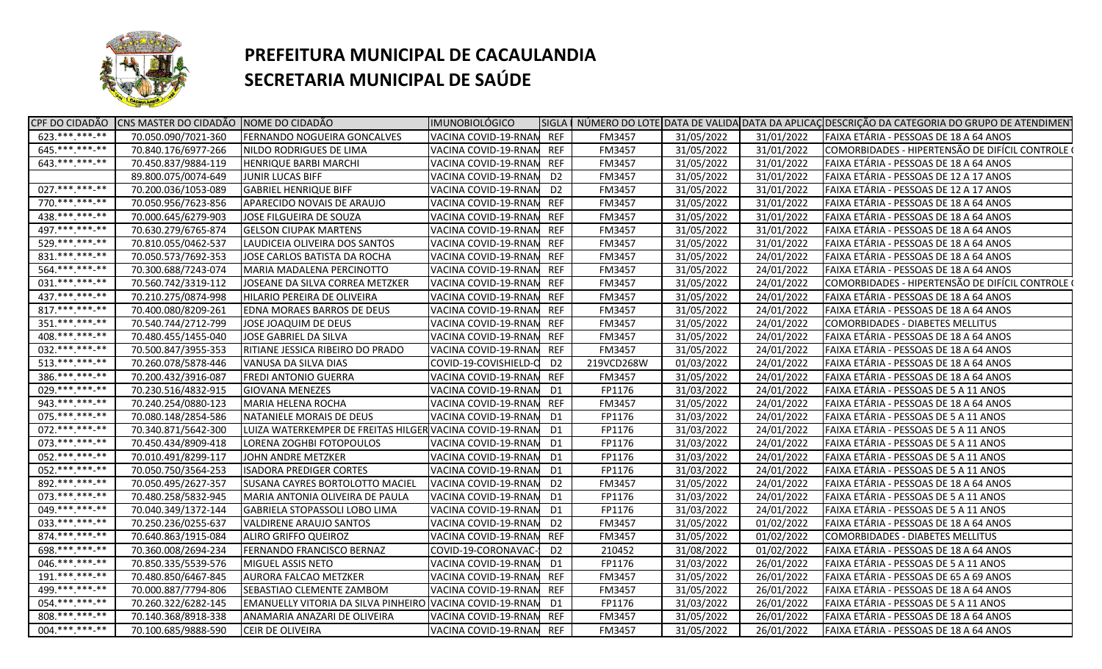

| $623.*******.**$<br>70.050.090/7021-360<br><b>FERNANDO NOGUEIRA GONCALVES</b><br>VACINA COVID-19-RNAN REF<br>FM3457<br>31/05/2022<br>31/01/2022<br>FAIXA ETÁRIA - PESSOAS DE 18 A 64 ANOS<br>645.**********<br>31/05/2022<br>COMORBIDADES - HIPERTENSÃO DE DIFÍCIL CONTROLE (<br>70.840.176/6977-266<br>NILDO RODRIGUES DE LIMA<br>VACINA COVID-19-RNAN<br><b>REF</b><br>FM3457<br>31/01/2022<br>643.******* <sub>**</sub><br>70.450.837/9884-119<br>31/05/2022<br><b>HENRIQUE BARBI MARCHI</b><br>VACINA COVID-19-RNAM<br><b>REF</b><br>FM3457<br>31/01/2022<br>FAIXA ETÁRIA - PESSOAS DE 18 A 64 ANOS<br>89.800.075/0074-649<br>VACINA COVID-19-RNAN<br>FM3457<br>31/05/2022<br>FAIXA ETÁRIA - PESSOAS DE 12 A 17 ANOS<br><b>JUNIR LUCAS BIFF</b><br>D <sub>2</sub><br>31/01/2022<br>027. *** *** **<br>70.200.036/1053-089<br><b>GABRIEL HENRIQUE BIFF</b><br>VACINA COVID-19-RNAN<br>31/05/2022<br>FAIXA ETÁRIA - PESSOAS DE 12 A 17 ANOS<br>D <sub>2</sub><br>FM3457<br>31/01/2022<br>770.***.***-**<br>70.050.956/7623-856<br>APARECIDO NOVAIS DE ARAUJO<br>VACINA COVID-19-RNAN<br><b>REF</b><br>FM3457<br>31/05/2022<br>31/01/2022<br>FAIXA ETÁRIA - PESSOAS DE 18 A 64 ANOS<br>438.*** ***-**<br>70.000.645/6279-903<br>JOSE FILGUEIRA DE SOUZA<br>VACINA COVID-19-RNAM<br><b>REF</b><br>FM3457<br>31/05/2022<br>31/01/2022<br>FAIXA ETÁRIA - PESSOAS DE 18 A 64 ANOS<br>497.********** |
|--------------------------------------------------------------------------------------------------------------------------------------------------------------------------------------------------------------------------------------------------------------------------------------------------------------------------------------------------------------------------------------------------------------------------------------------------------------------------------------------------------------------------------------------------------------------------------------------------------------------------------------------------------------------------------------------------------------------------------------------------------------------------------------------------------------------------------------------------------------------------------------------------------------------------------------------------------------------------------------------------------------------------------------------------------------------------------------------------------------------------------------------------------------------------------------------------------------------------------------------------------------------------------------------------------------------------------------------------------------------------------------------------|
|                                                                                                                                                                                                                                                                                                                                                                                                                                                                                                                                                                                                                                                                                                                                                                                                                                                                                                                                                                                                                                                                                                                                                                                                                                                                                                                                                                                                  |
|                                                                                                                                                                                                                                                                                                                                                                                                                                                                                                                                                                                                                                                                                                                                                                                                                                                                                                                                                                                                                                                                                                                                                                                                                                                                                                                                                                                                  |
|                                                                                                                                                                                                                                                                                                                                                                                                                                                                                                                                                                                                                                                                                                                                                                                                                                                                                                                                                                                                                                                                                                                                                                                                                                                                                                                                                                                                  |
|                                                                                                                                                                                                                                                                                                                                                                                                                                                                                                                                                                                                                                                                                                                                                                                                                                                                                                                                                                                                                                                                                                                                                                                                                                                                                                                                                                                                  |
|                                                                                                                                                                                                                                                                                                                                                                                                                                                                                                                                                                                                                                                                                                                                                                                                                                                                                                                                                                                                                                                                                                                                                                                                                                                                                                                                                                                                  |
|                                                                                                                                                                                                                                                                                                                                                                                                                                                                                                                                                                                                                                                                                                                                                                                                                                                                                                                                                                                                                                                                                                                                                                                                                                                                                                                                                                                                  |
|                                                                                                                                                                                                                                                                                                                                                                                                                                                                                                                                                                                                                                                                                                                                                                                                                                                                                                                                                                                                                                                                                                                                                                                                                                                                                                                                                                                                  |
| 70.630.279/6765-874<br><b>GELSON CIUPAK MARTENS</b><br>VACINA COVID-19-RNAM<br>REF<br><b>FM3457</b><br>31/05/2022<br>31/01/2022<br>FAIXA ETÁRIA - PESSOAS DE 18 A 64 ANOS                                                                                                                                                                                                                                                                                                                                                                                                                                                                                                                                                                                                                                                                                                                                                                                                                                                                                                                                                                                                                                                                                                                                                                                                                        |
| 529.**********<br>70.810.055/0462-537<br><b>REF</b><br>FM3457<br>31/05/2022<br>31/01/2022<br>FAIXA ETÁRIA - PESSOAS DE 18 A 64 ANOS<br>LAUDICEIA OLIVEIRA DOS SANTOS<br>VACINA COVID-19-RNAN                                                                                                                                                                                                                                                                                                                                                                                                                                                                                                                                                                                                                                                                                                                                                                                                                                                                                                                                                                                                                                                                                                                                                                                                     |
| $831.****.**.**$<br>70.050.573/7692-353<br><b>REF</b><br>31/05/2022<br>FAIXA ETÁRIA - PESSOAS DE 18 A 64 ANOS<br>JOSE CARLOS BATISTA DA ROCHA<br>VACINA COVID-19-RNAN<br>FM3457<br>24/01/2022                                                                                                                                                                                                                                                                                                                                                                                                                                                                                                                                                                                                                                                                                                                                                                                                                                                                                                                                                                                                                                                                                                                                                                                                    |
| 564.**********<br>31/05/2022<br>70.300.688/7243-074<br>MARIA MADALENA PERCINOTTO<br><b>REF</b><br>FM3457<br>24/01/2022<br>FAIXA ETÁRIA - PESSOAS DE 18 A 64 ANOS<br>VACINA COVID-19-RNAN                                                                                                                                                                                                                                                                                                                                                                                                                                                                                                                                                                                                                                                                                                                                                                                                                                                                                                                                                                                                                                                                                                                                                                                                         |
| $031.*********$<br>70.560.742/3319-112<br>JOSEANE DA SILVA CORREA METZKER<br>VACINA COVID-19-RNAM<br><b>REF</b><br>FM3457<br>31/05/2022<br>24/01/2022<br>COMORBIDADES - HIPERTENSÃO DE DIFÍCIL CONTROLE (                                                                                                                                                                                                                                                                                                                                                                                                                                                                                                                                                                                                                                                                                                                                                                                                                                                                                                                                                                                                                                                                                                                                                                                        |
| 437. *** *** -**<br>70.210.275/0874-998<br>HILARIO PEREIRA DE OLIVEIRA<br>VACINA COVID-19-RNAM<br>REF<br>FM3457<br>31/05/2022<br>24/01/2022<br>FAIXA ETÁRIA - PESSOAS DE 18 A 64 ANOS                                                                                                                                                                                                                                                                                                                                                                                                                                                                                                                                                                                                                                                                                                                                                                                                                                                                                                                                                                                                                                                                                                                                                                                                            |
| 817.*******-**<br>70.400.080/8209-261<br>31/05/2022<br>FAIXA ETÁRIA - PESSOAS DE 18 A 64 ANOS<br><b>EDNA MORAES BARROS DE DEUS</b><br>VACINA COVID-19-RNAN<br>REF<br><b>FM3457</b><br>24/01/2022                                                                                                                                                                                                                                                                                                                                                                                                                                                                                                                                                                                                                                                                                                                                                                                                                                                                                                                                                                                                                                                                                                                                                                                                 |
| $351*********$<br>70.540.744/2712-799<br><b>REF</b><br>31/05/2022<br>COMORBIDADES - DIABETES MELLITUS<br>JOSE JOAQUIM DE DEUS<br>VACINA COVID-19-RNAN<br>FM3457<br>24/01/2022                                                                                                                                                                                                                                                                                                                                                                                                                                                                                                                                                                                                                                                                                                                                                                                                                                                                                                                                                                                                                                                                                                                                                                                                                    |
| $408.*********$<br>70.480.455/1455-040<br><b>JOSE GABRIEL DA SILVA</b><br>VACINA COVID-19-RNAN<br>31/05/2022<br>FAIXA ETÁRIA - PESSOAS DE 18 A 64 ANOS<br>REF<br><b>FM3457</b><br>24/01/2022                                                                                                                                                                                                                                                                                                                                                                                                                                                                                                                                                                                                                                                                                                                                                                                                                                                                                                                                                                                                                                                                                                                                                                                                     |
| 032. *** *** -**<br>70.500.847/3955-353<br>RITIANE JESSICA RIBEIRO DO PRADO<br>VACINA COVID-19-RNAN<br><b>REF</b><br>FM3457<br>31/05/2022<br>24/01/2022<br>FAIXA ETÁRIA - PESSOAS DE 18 A 64 ANOS                                                                                                                                                                                                                                                                                                                                                                                                                                                                                                                                                                                                                                                                                                                                                                                                                                                                                                                                                                                                                                                                                                                                                                                                |
| $513.****.**-.***$<br>70.260.078/5878-446<br>VANUSA DA SILVA DIAS<br>COVID-19-COVISHIELD-C<br>219VCD268W<br>01/03/2022<br>24/01/2022<br>FAIXA ETÁRIA - PESSOAS DE 18 A 64 ANOS<br>D <sub>2</sub>                                                                                                                                                                                                                                                                                                                                                                                                                                                                                                                                                                                                                                                                                                                                                                                                                                                                                                                                                                                                                                                                                                                                                                                                 |
| 386.**********<br>70.200.432/3916-087<br><b>REF</b><br>FM3457<br>31/05/2022<br>24/01/2022<br>FAIXA ETÁRIA - PESSOAS DE 18 A 64 ANOS<br><b>FREDI ANTONIO GUERRA</b><br>VACINA COVID-19-RNAN                                                                                                                                                                                                                                                                                                                                                                                                                                                                                                                                                                                                                                                                                                                                                                                                                                                                                                                                                                                                                                                                                                                                                                                                       |
| 029. *** *** -**<br>70.230.516/4832-915<br>VACINA COVID-19-RNAN<br>FP1176<br>31/03/2022<br>24/01/2022<br>FAIXA ETÁRIA - PESSOAS DE 5 A 11 ANOS<br><b>GIOVANA MENEZES</b><br>D1                                                                                                                                                                                                                                                                                                                                                                                                                                                                                                                                                                                                                                                                                                                                                                                                                                                                                                                                                                                                                                                                                                                                                                                                                   |
| 943.**********<br>70.240.254/0880-123<br>MARIA HELENA ROCHA<br>VACINA COVID-19-RNAN<br><b>REF</b><br>31/05/2022<br>24/01/2022<br>FAIXA ETÁRIA - PESSOAS DE 18 A 64 ANOS<br>FM3457                                                                                                                                                                                                                                                                                                                                                                                                                                                                                                                                                                                                                                                                                                                                                                                                                                                                                                                                                                                                                                                                                                                                                                                                                |
| 075.***.***-**<br>70.080.148/2854-586<br>NATANIELE MORAIS DE DEUS<br>FP1176<br>31/03/2022<br>FAIXA ETÁRIA - PESSOAS DE 5 A 11 ANOS<br>VACINA COVID-19-RNAN<br>24/01/2022<br>D1                                                                                                                                                                                                                                                                                                                                                                                                                                                                                                                                                                                                                                                                                                                                                                                                                                                                                                                                                                                                                                                                                                                                                                                                                   |
| $072.****.*****$<br>LUIZA WATERKEMPER DE FREITAS HILGER VACINA COVID-19-RNAN<br>31/03/2022<br>FAIXA ETÁRIA - PESSOAS DE 5 A 11 ANOS<br>70.340.871/5642-300<br>FP1176<br>24/01/2022<br>D1                                                                                                                                                                                                                                                                                                                                                                                                                                                                                                                                                                                                                                                                                                                                                                                                                                                                                                                                                                                                                                                                                                                                                                                                         |
| 073. *** *** ** **<br>70.450.434/8909-418<br>FP1176<br>31/03/2022<br>FAIXA ETÁRIA - PESSOAS DE 5 A 11 ANOS<br>LORENA ZOGHBI FOTOPOULOS<br>VACINA COVID-19-RNAN<br>24/01/2022<br>D1                                                                                                                                                                                                                                                                                                                                                                                                                                                                                                                                                                                                                                                                                                                                                                                                                                                                                                                                                                                                                                                                                                                                                                                                               |
| 052.***.***-**<br>70.010.491/8299-117<br>VACINA COVID-19-RNAN<br>FP1176<br>31/03/2022<br>FAIXA ETÁRIA - PESSOAS DE 5 A 11 ANOS<br>JOHN ANDRE METZKER<br>D1<br>24/01/2022                                                                                                                                                                                                                                                                                                                                                                                                                                                                                                                                                                                                                                                                                                                                                                                                                                                                                                                                                                                                                                                                                                                                                                                                                         |
| 052. *** *** **<br>70.050.750/3564-253<br>VACINA COVID-19-RNAN<br>31/03/2022<br>FAIXA ETÁRIA - PESSOAS DE 5 A 11 ANOS<br><b>ISADORA PREDIGER CORTES</b><br>D1<br>FP1176<br>24/01/2022                                                                                                                                                                                                                                                                                                                                                                                                                                                                                                                                                                                                                                                                                                                                                                                                                                                                                                                                                                                                                                                                                                                                                                                                            |
| 892.***.***-**<br>70.050.495/2627-357<br>SUSANA CAYRES BORTOLOTTO MACIEL<br>VACINA COVID-19-RNAM<br>D <sub>2</sub><br>FM3457<br>31/05/2022<br>24/01/2022<br>FAIXA ETÁRIA - PESSOAS DE 18 A 64 ANOS                                                                                                                                                                                                                                                                                                                                                                                                                                                                                                                                                                                                                                                                                                                                                                                                                                                                                                                                                                                                                                                                                                                                                                                               |
| 073. *** *** **<br>70.480.258/5832-945<br>MARIA ANTONIA OLIVEIRA DE PAULA<br>VACINA COVID-19-RNAM<br>FP1176<br>31/03/2022<br>24/01/2022<br>FAIXA ETÁRIA - PESSOAS DE 5 A 11 ANOS<br>D1                                                                                                                                                                                                                                                                                                                                                                                                                                                                                                                                                                                                                                                                                                                                                                                                                                                                                                                                                                                                                                                                                                                                                                                                           |
| 049. *** *** **<br>70.040.349/1372-144<br>VACINA COVID-19-RNAN<br>FP1176<br>31/03/2022<br>24/01/2022<br>FAIXA ETÁRIA - PESSOAS DE 5 A 11 ANOS<br>GABRIELA STOPASSOLI LOBO LIMA<br>D1                                                                                                                                                                                                                                                                                                                                                                                                                                                                                                                                                                                                                                                                                                                                                                                                                                                                                                                                                                                                                                                                                                                                                                                                             |
| 033. *** *** ** **<br>70.250.236/0255-637<br>D <sub>2</sub><br>FM3457<br>31/05/2022<br>01/02/2022<br>FAIXA ETÁRIA - PESSOAS DE 18 A 64 ANOS<br><b>VALDIRENE ARAUJO SANTOS</b><br>VACINA COVID-19-RNAN                                                                                                                                                                                                                                                                                                                                                                                                                                                                                                                                                                                                                                                                                                                                                                                                                                                                                                                                                                                                                                                                                                                                                                                            |
| 874.**********<br>31/05/2022<br>70.640.863/1915-084<br><b>ALIRO GRIFFO QUEIROZ</b><br>VACINA COVID-19-RNAN<br><b>REF</b><br>FM3457<br>01/02/2022<br>COMORBIDADES - DIABETES MELLITUS                                                                                                                                                                                                                                                                                                                                                                                                                                                                                                                                                                                                                                                                                                                                                                                                                                                                                                                                                                                                                                                                                                                                                                                                             |
| 698.***.***.**<br>70.360.008/2694-234<br><b>FERNANDO FRANCISCO BERNAZ</b><br>COVID-19-CORONAVAC-<br>D <sub>2</sub><br>210452<br>31/08/2022<br>01/02/2022<br>FAIXA ETÁRIA - PESSOAS DE 18 A 64 ANOS                                                                                                                                                                                                                                                                                                                                                                                                                                                                                                                                                                                                                                                                                                                                                                                                                                                                                                                                                                                                                                                                                                                                                                                               |
| 046.**********<br>70.850.335/5539-576<br>MIGUEL ASSIS NETO<br>VACINA COVID-19-RNAM<br>FP1176<br>31/03/2022<br>FAIXA ETÁRIA - PESSOAS DE 5 A 11 ANOS<br>D1<br>26/01/2022                                                                                                                                                                                                                                                                                                                                                                                                                                                                                                                                                                                                                                                                                                                                                                                                                                                                                                                                                                                                                                                                                                                                                                                                                          |
| $191.*******.**$<br>70.480.850/6467-845<br>VACINA COVID-19-RNAN<br>31/05/2022<br>FAIXA ETÁRIA - PESSOAS DE 65 A 69 ANOS<br><b>AURORA FALCAO METZKER</b><br>REF<br><b>FM3457</b><br>26/01/2022                                                                                                                                                                                                                                                                                                                                                                                                                                                                                                                                                                                                                                                                                                                                                                                                                                                                                                                                                                                                                                                                                                                                                                                                    |
| 499.***.***-**<br>70.000.887/7794-806<br>31/05/2022<br>FAIXA ETÁRIA - PESSOAS DE 18 A 64 ANOS<br>SEBASTIAO CLEMENTE ZAMBOM<br>VACINA COVID-19-RNAN<br>REF<br>FM3457<br>26/01/2022                                                                                                                                                                                                                                                                                                                                                                                                                                                                                                                                                                                                                                                                                                                                                                                                                                                                                                                                                                                                                                                                                                                                                                                                                |
| 054. *** *** **<br>70.260.322/6282-145<br>EMANUELLY VITORIA DA SILVA PINHEIRO VACINA COVID-19-RNAN<br>FP1176<br>31/03/2022<br>FAIXA ETÁRIA - PESSOAS DE 5 A 11 ANOS<br>D1<br>26/01/2022                                                                                                                                                                                                                                                                                                                                                                                                                                                                                                                                                                                                                                                                                                                                                                                                                                                                                                                                                                                                                                                                                                                                                                                                          |
| $808.*******-**$<br>70.140.368/8918-338<br>ANAMARIA ANAZARI DE OLIVEIRA<br><b>REF</b><br>FM3457<br>31/05/2022<br>FAIXA ETÁRIA - PESSOAS DE 18 A 64 ANOS<br>VACINA COVID-19-RNAN<br>26/01/2022                                                                                                                                                                                                                                                                                                                                                                                                                                                                                                                                                                                                                                                                                                                                                                                                                                                                                                                                                                                                                                                                                                                                                                                                    |
| 004.**********<br>70.100.685/9888-590<br><b>CEIR DE OLIVEIRA</b><br>VACINA COVID-19-RNAN REF<br>FM3457<br>31/05/2022<br>26/01/2022<br>FAIXA ETÁRIA - PESSOAS DE 18 A 64 ANOS                                                                                                                                                                                                                                                                                                                                                                                                                                                                                                                                                                                                                                                                                                                                                                                                                                                                                                                                                                                                                                                                                                                                                                                                                     |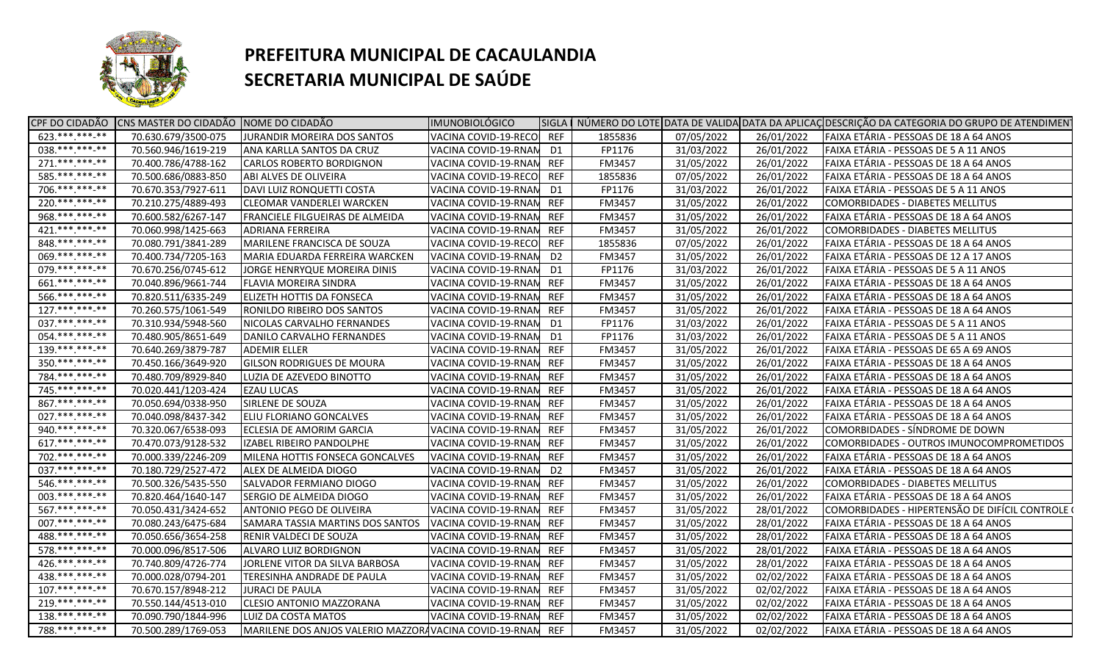

| $623.*******.**$<br>70.630.679/3500-075<br>JURANDIR MOREIRA DOS SANTOS<br>VACINA COVID-19-RECO<br><b>REF</b><br>1855836<br>07/05/2022<br>26/01/2022<br>FAIXA ETÁRIA - PESSOAS DE 18 A 64 ANOS<br>$038.*******-**$<br>31/03/2022<br>70.560.946/1619-219<br>ANA KARLLA SANTOS DA CRUZ<br>VACINA COVID-19-RNAN<br>D1<br>FP1176<br>26/01/2022<br>FAIXA ETÁRIA - PESSOAS DE 5 A 11 ANOS<br>$271.****.**.**$<br>70.400.786/4788-162<br>31/05/2022<br>FAIXA ETÁRIA - PESSOAS DE 18 A 64 ANOS<br><b>CARLOS ROBERTO BORDIGNON</b><br>VACINA COVID-19-RNAN<br><b>REF</b><br>FM3457<br>26/01/2022<br>585. *** ***-**<br>70.500.686/0883-850<br>ABI ALVES DE OLIVEIRA<br>VACINA COVID-19-RECO<br><b>REF</b><br>1855836<br>07/05/2022<br>FAIXA ETÁRIA - PESSOAS DE 18 A 64 ANOS<br>26/01/2022<br>706.**********<br>70.670.353/7927-611<br>31/03/2022<br>FAIXA ETÁRIA - PESSOAS DE 5 A 11 ANOS<br>DAVI LUIZ RONQUETTI COSTA<br>VACINA COVID-19-RNAN<br>FP1176<br>26/01/2022<br>D1<br>$220.*******.**$<br>70.210.275/4889-493<br>31/05/2022<br>CLEOMAR VANDERLEI WARCKEN<br>VACINA COVID-19-RNAN<br><b>REF</b><br>FM3457<br>26/01/2022<br>COMORBIDADES - DIABETES MELLITUS<br>968.***.****.**<br>70.600.582/6267-147<br>FRANCIELE FILGUEIRAS DE ALMEIDA<br>VACINA COVID-19-RNAM<br><b>REF</b><br>FM3457<br>31/05/2022<br>26/01/2022<br>FAIXA ETÁRIA - PESSOAS DE 18 A 64 ANOS<br>$421.****.**.**$<br>70.060.998/1425-663<br>VACINA COVID-19-RNAN<br>REF<br><b>FM3457</b><br>31/05/2022<br>26/01/2022<br>COMORBIDADES - DIABETES MELLITUS<br>ADRIANA FERREIRA<br>848.*** *** **<br>70.080.791/3841-289<br>MARILENE FRANCISCA DE SOUZA<br>REF<br>1855836<br>07/05/2022<br>26/01/2022<br>FAIXA ETÁRIA - PESSOAS DE 18 A 64 ANOS<br>VACINA COVID-19-RECO<br>069. *** *** **<br>70.400.734/7205-163<br>MARIA EDUARDA FERREIRA WARCKEN<br>VACINA COVID-19-RNAM<br>D <sub>2</sub><br>FM3457<br>31/05/2022<br>26/01/2022<br>FAIXA ETÁRIA - PESSOAS DE 12 A 17 ANOS<br>079.*********<br>70.670.256/0745-612<br>FP1176<br>31/03/2022<br>26/01/2022<br>FAIXA ETÁRIA - PESSOAS DE 5 A 11 ANOS<br>JORGE HENRYQUE MOREIRA DINIS<br>VACINA COVID-19-RNAM<br>D1<br>661.***.***-**<br>70.040.896/9661-744<br>31/05/2022<br>FAIXA ETÁRIA - PESSOAS DE 18 A 64 ANOS<br><b>FLAVIA MOREIRA SINDRA</b><br>VACINA COVID-19-RNAM<br>REF<br><b>FM3457</b><br>26/01/2022<br>566.**********<br>70.820.511/6335-249<br>31/05/2022<br>FAIXA ETÁRIA - PESSOAS DE 18 A 64 ANOS<br><b>ELIZETH HOTTIS DA FONSECA</b><br>VACINA COVID-19-RNAM<br>REF<br><b>FM3457</b><br>26/01/2022<br>$127.*******.**$<br>31/05/2022<br>70.260.575/1061-549<br>RONILDO RIBEIRO DOS SANTOS<br>VACINA COVID-19-RNAN<br>FM3457<br>26/01/2022<br>FAIXA ETÁRIA - PESSOAS DE 18 A 64 ANOS<br>REF<br>037. *** *** -**<br>70.310.934/5948-560<br>VACINA COVID-19-RNAN<br>FP1176<br>31/03/2022<br>FAIXA ETÁRIA - PESSOAS DE 5 A 11 ANOS<br>NICOLAS CARVALHO FERNANDES<br>26/01/2022<br>D1<br>054. *** *** -**<br>70.480.905/8651-649<br>VACINA COVID-19-RNAN<br>FP1176<br>31/03/2022<br>FAIXA ETÁRIA - PESSOAS DE 5 A 11 ANOS<br>DANILO CARVALHO FERNANDES<br>D1<br>26/01/2022<br>$139.*******.**$<br>70.640.269/3879-787<br><b>ADEMIR ELLER</b><br>VACINA COVID-19-RNAN<br><b>REF</b><br>FM3457<br>31/05/2022<br>26/01/2022<br>FAIXA ETÁRIA - PESSOAS DE 65 A 69 ANOS<br>$350.**********$<br>70.450.166/3649-920<br><b>GILSON RODRIGUES DE MOURA</b><br>VACINA COVID-19-RNAM<br><b>REF</b><br>31/05/2022<br>26/01/2022<br>FAIXA ETÁRIA - PESSOAS DE 18 A 64 ANOS<br>FM3457<br>784.***.***_**<br><b>REF</b><br>FM3457<br>31/05/2022<br>26/01/2022<br>70.480.709/8929-840<br>LUZIA DE AZEVEDO BINOTTO<br>VACINA COVID-19-RNAN<br>FAIXA ETÁRIA - PESSOAS DE 18 A 64 ANOS<br>745. *** *** -**<br>70.020.441/1203-424<br><b>REF</b><br>31/05/2022<br>26/01/2022<br>FAIXA ETÁRIA - PESSOAS DE 18 A 64 ANOS<br><b>EZAU LUCAS</b><br>FM3457 |
|-------------------------------------------------------------------------------------------------------------------------------------------------------------------------------------------------------------------------------------------------------------------------------------------------------------------------------------------------------------------------------------------------------------------------------------------------------------------------------------------------------------------------------------------------------------------------------------------------------------------------------------------------------------------------------------------------------------------------------------------------------------------------------------------------------------------------------------------------------------------------------------------------------------------------------------------------------------------------------------------------------------------------------------------------------------------------------------------------------------------------------------------------------------------------------------------------------------------------------------------------------------------------------------------------------------------------------------------------------------------------------------------------------------------------------------------------------------------------------------------------------------------------------------------------------------------------------------------------------------------------------------------------------------------------------------------------------------------------------------------------------------------------------------------------------------------------------------------------------------------------------------------------------------------------------------------------------------------------------------------------------------------------------------------------------------------------------------------------------------------------------------------------------------------------------------------------------------------------------------------------------------------------------------------------------------------------------------------------------------------------------------------------------------------------------------------------------------------------------------------------------------------------------------------------------------------------------------------------------------------------------------------------------------------------------------------------------------------------------------------------------------------------------------------------------------------------------------------------------------------------------------------------------------------------------------------------------------------------------------------------------------------------------------------------------------------------------------------------------------------------------------------------------------------------------------------------------------------------------------------------------------------------------------------------------------------------------------------------------------------------------------------------------------------------------------------------------------------------------------------------------------------------------------------------------------------------------------------------------------------------------------------------------------------------------------------------------------------------------------------------------------------------------------------------------------------------------------------------------------|
|                                                                                                                                                                                                                                                                                                                                                                                                                                                                                                                                                                                                                                                                                                                                                                                                                                                                                                                                                                                                                                                                                                                                                                                                                                                                                                                                                                                                                                                                                                                                                                                                                                                                                                                                                                                                                                                                                                                                                                                                                                                                                                                                                                                                                                                                                                                                                                                                                                                                                                                                                                                                                                                                                                                                                                                                                                                                                                                                                                                                                                                                                                                                                                                                                                                                                                                                                                                                                                                                                                                                                                                                                                                                                                                                                                                                                                                             |
|                                                                                                                                                                                                                                                                                                                                                                                                                                                                                                                                                                                                                                                                                                                                                                                                                                                                                                                                                                                                                                                                                                                                                                                                                                                                                                                                                                                                                                                                                                                                                                                                                                                                                                                                                                                                                                                                                                                                                                                                                                                                                                                                                                                                                                                                                                                                                                                                                                                                                                                                                                                                                                                                                                                                                                                                                                                                                                                                                                                                                                                                                                                                                                                                                                                                                                                                                                                                                                                                                                                                                                                                                                                                                                                                                                                                                                                             |
|                                                                                                                                                                                                                                                                                                                                                                                                                                                                                                                                                                                                                                                                                                                                                                                                                                                                                                                                                                                                                                                                                                                                                                                                                                                                                                                                                                                                                                                                                                                                                                                                                                                                                                                                                                                                                                                                                                                                                                                                                                                                                                                                                                                                                                                                                                                                                                                                                                                                                                                                                                                                                                                                                                                                                                                                                                                                                                                                                                                                                                                                                                                                                                                                                                                                                                                                                                                                                                                                                                                                                                                                                                                                                                                                                                                                                                                             |
|                                                                                                                                                                                                                                                                                                                                                                                                                                                                                                                                                                                                                                                                                                                                                                                                                                                                                                                                                                                                                                                                                                                                                                                                                                                                                                                                                                                                                                                                                                                                                                                                                                                                                                                                                                                                                                                                                                                                                                                                                                                                                                                                                                                                                                                                                                                                                                                                                                                                                                                                                                                                                                                                                                                                                                                                                                                                                                                                                                                                                                                                                                                                                                                                                                                                                                                                                                                                                                                                                                                                                                                                                                                                                                                                                                                                                                                             |
|                                                                                                                                                                                                                                                                                                                                                                                                                                                                                                                                                                                                                                                                                                                                                                                                                                                                                                                                                                                                                                                                                                                                                                                                                                                                                                                                                                                                                                                                                                                                                                                                                                                                                                                                                                                                                                                                                                                                                                                                                                                                                                                                                                                                                                                                                                                                                                                                                                                                                                                                                                                                                                                                                                                                                                                                                                                                                                                                                                                                                                                                                                                                                                                                                                                                                                                                                                                                                                                                                                                                                                                                                                                                                                                                                                                                                                                             |
|                                                                                                                                                                                                                                                                                                                                                                                                                                                                                                                                                                                                                                                                                                                                                                                                                                                                                                                                                                                                                                                                                                                                                                                                                                                                                                                                                                                                                                                                                                                                                                                                                                                                                                                                                                                                                                                                                                                                                                                                                                                                                                                                                                                                                                                                                                                                                                                                                                                                                                                                                                                                                                                                                                                                                                                                                                                                                                                                                                                                                                                                                                                                                                                                                                                                                                                                                                                                                                                                                                                                                                                                                                                                                                                                                                                                                                                             |
|                                                                                                                                                                                                                                                                                                                                                                                                                                                                                                                                                                                                                                                                                                                                                                                                                                                                                                                                                                                                                                                                                                                                                                                                                                                                                                                                                                                                                                                                                                                                                                                                                                                                                                                                                                                                                                                                                                                                                                                                                                                                                                                                                                                                                                                                                                                                                                                                                                                                                                                                                                                                                                                                                                                                                                                                                                                                                                                                                                                                                                                                                                                                                                                                                                                                                                                                                                                                                                                                                                                                                                                                                                                                                                                                                                                                                                                             |
|                                                                                                                                                                                                                                                                                                                                                                                                                                                                                                                                                                                                                                                                                                                                                                                                                                                                                                                                                                                                                                                                                                                                                                                                                                                                                                                                                                                                                                                                                                                                                                                                                                                                                                                                                                                                                                                                                                                                                                                                                                                                                                                                                                                                                                                                                                                                                                                                                                                                                                                                                                                                                                                                                                                                                                                                                                                                                                                                                                                                                                                                                                                                                                                                                                                                                                                                                                                                                                                                                                                                                                                                                                                                                                                                                                                                                                                             |
|                                                                                                                                                                                                                                                                                                                                                                                                                                                                                                                                                                                                                                                                                                                                                                                                                                                                                                                                                                                                                                                                                                                                                                                                                                                                                                                                                                                                                                                                                                                                                                                                                                                                                                                                                                                                                                                                                                                                                                                                                                                                                                                                                                                                                                                                                                                                                                                                                                                                                                                                                                                                                                                                                                                                                                                                                                                                                                                                                                                                                                                                                                                                                                                                                                                                                                                                                                                                                                                                                                                                                                                                                                                                                                                                                                                                                                                             |
|                                                                                                                                                                                                                                                                                                                                                                                                                                                                                                                                                                                                                                                                                                                                                                                                                                                                                                                                                                                                                                                                                                                                                                                                                                                                                                                                                                                                                                                                                                                                                                                                                                                                                                                                                                                                                                                                                                                                                                                                                                                                                                                                                                                                                                                                                                                                                                                                                                                                                                                                                                                                                                                                                                                                                                                                                                                                                                                                                                                                                                                                                                                                                                                                                                                                                                                                                                                                                                                                                                                                                                                                                                                                                                                                                                                                                                                             |
|                                                                                                                                                                                                                                                                                                                                                                                                                                                                                                                                                                                                                                                                                                                                                                                                                                                                                                                                                                                                                                                                                                                                                                                                                                                                                                                                                                                                                                                                                                                                                                                                                                                                                                                                                                                                                                                                                                                                                                                                                                                                                                                                                                                                                                                                                                                                                                                                                                                                                                                                                                                                                                                                                                                                                                                                                                                                                                                                                                                                                                                                                                                                                                                                                                                                                                                                                                                                                                                                                                                                                                                                                                                                                                                                                                                                                                                             |
|                                                                                                                                                                                                                                                                                                                                                                                                                                                                                                                                                                                                                                                                                                                                                                                                                                                                                                                                                                                                                                                                                                                                                                                                                                                                                                                                                                                                                                                                                                                                                                                                                                                                                                                                                                                                                                                                                                                                                                                                                                                                                                                                                                                                                                                                                                                                                                                                                                                                                                                                                                                                                                                                                                                                                                                                                                                                                                                                                                                                                                                                                                                                                                                                                                                                                                                                                                                                                                                                                                                                                                                                                                                                                                                                                                                                                                                             |
|                                                                                                                                                                                                                                                                                                                                                                                                                                                                                                                                                                                                                                                                                                                                                                                                                                                                                                                                                                                                                                                                                                                                                                                                                                                                                                                                                                                                                                                                                                                                                                                                                                                                                                                                                                                                                                                                                                                                                                                                                                                                                                                                                                                                                                                                                                                                                                                                                                                                                                                                                                                                                                                                                                                                                                                                                                                                                                                                                                                                                                                                                                                                                                                                                                                                                                                                                                                                                                                                                                                                                                                                                                                                                                                                                                                                                                                             |
|                                                                                                                                                                                                                                                                                                                                                                                                                                                                                                                                                                                                                                                                                                                                                                                                                                                                                                                                                                                                                                                                                                                                                                                                                                                                                                                                                                                                                                                                                                                                                                                                                                                                                                                                                                                                                                                                                                                                                                                                                                                                                                                                                                                                                                                                                                                                                                                                                                                                                                                                                                                                                                                                                                                                                                                                                                                                                                                                                                                                                                                                                                                                                                                                                                                                                                                                                                                                                                                                                                                                                                                                                                                                                                                                                                                                                                                             |
|                                                                                                                                                                                                                                                                                                                                                                                                                                                                                                                                                                                                                                                                                                                                                                                                                                                                                                                                                                                                                                                                                                                                                                                                                                                                                                                                                                                                                                                                                                                                                                                                                                                                                                                                                                                                                                                                                                                                                                                                                                                                                                                                                                                                                                                                                                                                                                                                                                                                                                                                                                                                                                                                                                                                                                                                                                                                                                                                                                                                                                                                                                                                                                                                                                                                                                                                                                                                                                                                                                                                                                                                                                                                                                                                                                                                                                                             |
|                                                                                                                                                                                                                                                                                                                                                                                                                                                                                                                                                                                                                                                                                                                                                                                                                                                                                                                                                                                                                                                                                                                                                                                                                                                                                                                                                                                                                                                                                                                                                                                                                                                                                                                                                                                                                                                                                                                                                                                                                                                                                                                                                                                                                                                                                                                                                                                                                                                                                                                                                                                                                                                                                                                                                                                                                                                                                                                                                                                                                                                                                                                                                                                                                                                                                                                                                                                                                                                                                                                                                                                                                                                                                                                                                                                                                                                             |
|                                                                                                                                                                                                                                                                                                                                                                                                                                                                                                                                                                                                                                                                                                                                                                                                                                                                                                                                                                                                                                                                                                                                                                                                                                                                                                                                                                                                                                                                                                                                                                                                                                                                                                                                                                                                                                                                                                                                                                                                                                                                                                                                                                                                                                                                                                                                                                                                                                                                                                                                                                                                                                                                                                                                                                                                                                                                                                                                                                                                                                                                                                                                                                                                                                                                                                                                                                                                                                                                                                                                                                                                                                                                                                                                                                                                                                                             |
|                                                                                                                                                                                                                                                                                                                                                                                                                                                                                                                                                                                                                                                                                                                                                                                                                                                                                                                                                                                                                                                                                                                                                                                                                                                                                                                                                                                                                                                                                                                                                                                                                                                                                                                                                                                                                                                                                                                                                                                                                                                                                                                                                                                                                                                                                                                                                                                                                                                                                                                                                                                                                                                                                                                                                                                                                                                                                                                                                                                                                                                                                                                                                                                                                                                                                                                                                                                                                                                                                                                                                                                                                                                                                                                                                                                                                                                             |
|                                                                                                                                                                                                                                                                                                                                                                                                                                                                                                                                                                                                                                                                                                                                                                                                                                                                                                                                                                                                                                                                                                                                                                                                                                                                                                                                                                                                                                                                                                                                                                                                                                                                                                                                                                                                                                                                                                                                                                                                                                                                                                                                                                                                                                                                                                                                                                                                                                                                                                                                                                                                                                                                                                                                                                                                                                                                                                                                                                                                                                                                                                                                                                                                                                                                                                                                                                                                                                                                                                                                                                                                                                                                                                                                                                                                                                                             |
| VACINA COVID-19-RNAN                                                                                                                                                                                                                                                                                                                                                                                                                                                                                                                                                                                                                                                                                                                                                                                                                                                                                                                                                                                                                                                                                                                                                                                                                                                                                                                                                                                                                                                                                                                                                                                                                                                                                                                                                                                                                                                                                                                                                                                                                                                                                                                                                                                                                                                                                                                                                                                                                                                                                                                                                                                                                                                                                                                                                                                                                                                                                                                                                                                                                                                                                                                                                                                                                                                                                                                                                                                                                                                                                                                                                                                                                                                                                                                                                                                                                                        |
| 867.**********<br>70.050.694/0338-950<br>31/05/2022<br>26/01/2022<br>SIRLENE DE SOUZA<br>VACINA COVID-19-RNAN<br>REF<br>FM3457<br>FAIXA ETÁRIA - PESSOAS DE 18 A 64 ANOS                                                                                                                                                                                                                                                                                                                                                                                                                                                                                                                                                                                                                                                                                                                                                                                                                                                                                                                                                                                                                                                                                                                                                                                                                                                                                                                                                                                                                                                                                                                                                                                                                                                                                                                                                                                                                                                                                                                                                                                                                                                                                                                                                                                                                                                                                                                                                                                                                                                                                                                                                                                                                                                                                                                                                                                                                                                                                                                                                                                                                                                                                                                                                                                                                                                                                                                                                                                                                                                                                                                                                                                                                                                                                    |
| 027. *** *** -**<br>70.040.098/8437-342<br>ELIU FLORIANO GONCALVES<br>31/05/2022<br>FAIXA ETÁRIA - PESSOAS DE 18 A 64 ANOS<br>VACINA COVID-19-RNAN<br><b>REF</b><br>FM3457<br>26/01/2022                                                                                                                                                                                                                                                                                                                                                                                                                                                                                                                                                                                                                                                                                                                                                                                                                                                                                                                                                                                                                                                                                                                                                                                                                                                                                                                                                                                                                                                                                                                                                                                                                                                                                                                                                                                                                                                                                                                                                                                                                                                                                                                                                                                                                                                                                                                                                                                                                                                                                                                                                                                                                                                                                                                                                                                                                                                                                                                                                                                                                                                                                                                                                                                                                                                                                                                                                                                                                                                                                                                                                                                                                                                                    |
| 940.*******-**<br>70.320.067/6538-093<br>ECLESIA DE AMORIM GARCIA<br>VACINA COVID-19-RNAM<br>FM3457<br>31/05/2022<br>26/01/2022<br>COMORBIDADES - SÍNDROME DE DOWN<br>REF                                                                                                                                                                                                                                                                                                                                                                                                                                                                                                                                                                                                                                                                                                                                                                                                                                                                                                                                                                                                                                                                                                                                                                                                                                                                                                                                                                                                                                                                                                                                                                                                                                                                                                                                                                                                                                                                                                                                                                                                                                                                                                                                                                                                                                                                                                                                                                                                                                                                                                                                                                                                                                                                                                                                                                                                                                                                                                                                                                                                                                                                                                                                                                                                                                                                                                                                                                                                                                                                                                                                                                                                                                                                                   |
| 617.**********<br>31/05/2022<br>70.470.073/9128-532<br>IZABEL RIBEIRO PANDOLPHE<br>VACINA COVID-19-RNAN<br>FM3457<br>26/01/2022<br>COMORBIDADES - OUTROS IMUNOCOMPROMETIDOS<br>REF                                                                                                                                                                                                                                                                                                                                                                                                                                                                                                                                                                                                                                                                                                                                                                                                                                                                                                                                                                                                                                                                                                                                                                                                                                                                                                                                                                                                                                                                                                                                                                                                                                                                                                                                                                                                                                                                                                                                                                                                                                                                                                                                                                                                                                                                                                                                                                                                                                                                                                                                                                                                                                                                                                                                                                                                                                                                                                                                                                                                                                                                                                                                                                                                                                                                                                                                                                                                                                                                                                                                                                                                                                                                          |
| 702.***.***-**<br>70.000.339/2246-209<br>MILENA HOTTIS FONSECA GONCALVES<br>VACINA COVID-19-RNAN<br>31/05/2022<br>FAIXA ETÁRIA - PESSOAS DE 18 A 64 ANOS<br>REF<br><b>FM3457</b><br>26/01/2022                                                                                                                                                                                                                                                                                                                                                                                                                                                                                                                                                                                                                                                                                                                                                                                                                                                                                                                                                                                                                                                                                                                                                                                                                                                                                                                                                                                                                                                                                                                                                                                                                                                                                                                                                                                                                                                                                                                                                                                                                                                                                                                                                                                                                                                                                                                                                                                                                                                                                                                                                                                                                                                                                                                                                                                                                                                                                                                                                                                                                                                                                                                                                                                                                                                                                                                                                                                                                                                                                                                                                                                                                                                              |
| 037. *** *** **<br>70.180.729/2527-472<br>VACINA COVID-19-RNAN<br>31/05/2022<br>FAIXA ETÁRIA - PESSOAS DE 18 A 64 ANOS<br>ALEX DE ALMEIDA DIOGO<br>D <sub>2</sub><br>FM3457<br>26/01/2022                                                                                                                                                                                                                                                                                                                                                                                                                                                                                                                                                                                                                                                                                                                                                                                                                                                                                                                                                                                                                                                                                                                                                                                                                                                                                                                                                                                                                                                                                                                                                                                                                                                                                                                                                                                                                                                                                                                                                                                                                                                                                                                                                                                                                                                                                                                                                                                                                                                                                                                                                                                                                                                                                                                                                                                                                                                                                                                                                                                                                                                                                                                                                                                                                                                                                                                                                                                                                                                                                                                                                                                                                                                                   |
| 546.******* <sub>**</sub><br>70.500.326/5435-550<br>VACINA COVID-19-RNAN<br>31/05/2022<br>SALVADOR FERMIANO DIOGO<br>REF<br>FM3457<br>26/01/2022<br>COMORBIDADES - DIABETES MELLITUS                                                                                                                                                                                                                                                                                                                                                                                                                                                                                                                                                                                                                                                                                                                                                                                                                                                                                                                                                                                                                                                                                                                                                                                                                                                                                                                                                                                                                                                                                                                                                                                                                                                                                                                                                                                                                                                                                                                                                                                                                                                                                                                                                                                                                                                                                                                                                                                                                                                                                                                                                                                                                                                                                                                                                                                                                                                                                                                                                                                                                                                                                                                                                                                                                                                                                                                                                                                                                                                                                                                                                                                                                                                                        |
| 003. *** *** ** **<br>70.820.464/1640-147<br>VACINA COVID-19-RNAM<br>31/05/2022<br>FAIXA ETÁRIA - PESSOAS DE 18 A 64 ANOS<br>SERGIO DE ALMEIDA DIOGO<br>REF<br><b>FM3457</b><br>26/01/2022                                                                                                                                                                                                                                                                                                                                                                                                                                                                                                                                                                                                                                                                                                                                                                                                                                                                                                                                                                                                                                                                                                                                                                                                                                                                                                                                                                                                                                                                                                                                                                                                                                                                                                                                                                                                                                                                                                                                                                                                                                                                                                                                                                                                                                                                                                                                                                                                                                                                                                                                                                                                                                                                                                                                                                                                                                                                                                                                                                                                                                                                                                                                                                                                                                                                                                                                                                                                                                                                                                                                                                                                                                                                  |
| 567.**********<br>COMORBIDADES - HIPERTENSÃO DE DIFÍCIL CONTROLE (<br>70.050.431/3424-652<br><b>ANTONIO PEGO DE OLIVEIRA</b><br>VACINA COVID-19-RNAN<br>REF<br><b>FM3457</b><br>31/05/2022<br>28/01/2022                                                                                                                                                                                                                                                                                                                                                                                                                                                                                                                                                                                                                                                                                                                                                                                                                                                                                                                                                                                                                                                                                                                                                                                                                                                                                                                                                                                                                                                                                                                                                                                                                                                                                                                                                                                                                                                                                                                                                                                                                                                                                                                                                                                                                                                                                                                                                                                                                                                                                                                                                                                                                                                                                                                                                                                                                                                                                                                                                                                                                                                                                                                                                                                                                                                                                                                                                                                                                                                                                                                                                                                                                                                    |
| 007.***.***.**<br>70.080.243/6475-684<br>SAMARA TASSIA MARTINS DOS SANTOS<br>REF<br>FM3457<br>31/05/2022<br>VACINA COVID-19-RNAN<br>28/01/2022<br>FAIXA ETARIA - PESSOAS DE 18 A 64 ANOS                                                                                                                                                                                                                                                                                                                                                                                                                                                                                                                                                                                                                                                                                                                                                                                                                                                                                                                                                                                                                                                                                                                                                                                                                                                                                                                                                                                                                                                                                                                                                                                                                                                                                                                                                                                                                                                                                                                                                                                                                                                                                                                                                                                                                                                                                                                                                                                                                                                                                                                                                                                                                                                                                                                                                                                                                                                                                                                                                                                                                                                                                                                                                                                                                                                                                                                                                                                                                                                                                                                                                                                                                                                                    |
| 488.***.***-**<br>70.050.656/3654-258<br><b>REF</b><br>31/05/2022<br>RENIR VALDECI DE SOUZA<br>VACINA COVID-19-RNAN<br>FM3457<br>28/01/2022<br>FAIXA ETÁRIA - PESSOAS DE 18 A 64 ANOS                                                                                                                                                                                                                                                                                                                                                                                                                                                                                                                                                                                                                                                                                                                                                                                                                                                                                                                                                                                                                                                                                                                                                                                                                                                                                                                                                                                                                                                                                                                                                                                                                                                                                                                                                                                                                                                                                                                                                                                                                                                                                                                                                                                                                                                                                                                                                                                                                                                                                                                                                                                                                                                                                                                                                                                                                                                                                                                                                                                                                                                                                                                                                                                                                                                                                                                                                                                                                                                                                                                                                                                                                                                                       |
| $578.******-*$<br>31/05/2022<br>28/01/2022<br>FAIXA ETÁRIA - PESSOAS DE 18 A 64 ANOS<br>70.000.096/8517-506<br>ALVARO LUIZ BORDIGNON<br>VACINA COVID-19-RNAN<br>REF<br><b>FM3457</b>                                                                                                                                                                                                                                                                                                                                                                                                                                                                                                                                                                                                                                                                                                                                                                                                                                                                                                                                                                                                                                                                                                                                                                                                                                                                                                                                                                                                                                                                                                                                                                                                                                                                                                                                                                                                                                                                                                                                                                                                                                                                                                                                                                                                                                                                                                                                                                                                                                                                                                                                                                                                                                                                                                                                                                                                                                                                                                                                                                                                                                                                                                                                                                                                                                                                                                                                                                                                                                                                                                                                                                                                                                                                        |
| 426.***.***-**<br>70.740.809/4726-774<br>31/05/2022<br>FAIXA ETÁRIA - PESSOAS DE 18 A 64 ANOS<br>JORLENE VITOR DA SILVA BARBOSA<br>VACINA COVID-19-RNAN<br>REF<br><b>FM3457</b><br>28/01/2022                                                                                                                                                                                                                                                                                                                                                                                                                                                                                                                                                                                                                                                                                                                                                                                                                                                                                                                                                                                                                                                                                                                                                                                                                                                                                                                                                                                                                                                                                                                                                                                                                                                                                                                                                                                                                                                                                                                                                                                                                                                                                                                                                                                                                                                                                                                                                                                                                                                                                                                                                                                                                                                                                                                                                                                                                                                                                                                                                                                                                                                                                                                                                                                                                                                                                                                                                                                                                                                                                                                                                                                                                                                               |
| 438.*******-**<br>70.000.028/0794-201<br>FM3457<br>31/05/2022<br>FAIXA ETÁRIA - PESSOAS DE 18 A 64 ANOS<br><b>TERESINHA ANDRADE DE PAULA</b><br>VACINA COVID-19-RNAN<br>REF<br>02/02/2022                                                                                                                                                                                                                                                                                                                                                                                                                                                                                                                                                                                                                                                                                                                                                                                                                                                                                                                                                                                                                                                                                                                                                                                                                                                                                                                                                                                                                                                                                                                                                                                                                                                                                                                                                                                                                                                                                                                                                                                                                                                                                                                                                                                                                                                                                                                                                                                                                                                                                                                                                                                                                                                                                                                                                                                                                                                                                                                                                                                                                                                                                                                                                                                                                                                                                                                                                                                                                                                                                                                                                                                                                                                                   |
| $107.*********$<br>31/05/2022<br>70.670.157/8948-212<br><b>JURACI DE PAULA</b><br>VACINA COVID-19-RNAN<br><b>REF</b><br>FM3457<br>02/02/2022<br>FAIXA ETÁRIA - PESSOAS DE 18 A 64 ANOS                                                                                                                                                                                                                                                                                                                                                                                                                                                                                                                                                                                                                                                                                                                                                                                                                                                                                                                                                                                                                                                                                                                                                                                                                                                                                                                                                                                                                                                                                                                                                                                                                                                                                                                                                                                                                                                                                                                                                                                                                                                                                                                                                                                                                                                                                                                                                                                                                                                                                                                                                                                                                                                                                                                                                                                                                                                                                                                                                                                                                                                                                                                                                                                                                                                                                                                                                                                                                                                                                                                                                                                                                                                                      |
| 219.*** ***-**<br>70.550.144/4513-010<br>CLESIO ANTONIO MAZZORANA<br>VACINA COVID-19-RNAN<br><b>REF</b><br>FM3457<br>31/05/2022<br>02/02/2022<br>FAIXA ETÁRIA - PESSOAS DE 18 A 64 ANOS                                                                                                                                                                                                                                                                                                                                                                                                                                                                                                                                                                                                                                                                                                                                                                                                                                                                                                                                                                                                                                                                                                                                                                                                                                                                                                                                                                                                                                                                                                                                                                                                                                                                                                                                                                                                                                                                                                                                                                                                                                                                                                                                                                                                                                                                                                                                                                                                                                                                                                                                                                                                                                                                                                                                                                                                                                                                                                                                                                                                                                                                                                                                                                                                                                                                                                                                                                                                                                                                                                                                                                                                                                                                     |
| $138.*******.**$<br>70.090.790/1844-996<br>LUIZ DA COSTA MATOS<br>VACINA COVID-19-RNAN REF<br>31/05/2022<br>02/02/2022<br>FAIXA ETÁRIA - PESSOAS DE 18 A 64 ANOS<br><b>FM3457</b>                                                                                                                                                                                                                                                                                                                                                                                                                                                                                                                                                                                                                                                                                                                                                                                                                                                                                                                                                                                                                                                                                                                                                                                                                                                                                                                                                                                                                                                                                                                                                                                                                                                                                                                                                                                                                                                                                                                                                                                                                                                                                                                                                                                                                                                                                                                                                                                                                                                                                                                                                                                                                                                                                                                                                                                                                                                                                                                                                                                                                                                                                                                                                                                                                                                                                                                                                                                                                                                                                                                                                                                                                                                                           |
| 788.***.***-**<br>70.500.289/1769-053<br>31/05/2022<br>FAIXA ETÁRIA - PESSOAS DE 18 A 64 ANOS<br>MARILENE DOS ANJOS VALERIO MAZZORA VACINA COVID-19-RNAM REF<br>FM3457<br>02/02/2022                                                                                                                                                                                                                                                                                                                                                                                                                                                                                                                                                                                                                                                                                                                                                                                                                                                                                                                                                                                                                                                                                                                                                                                                                                                                                                                                                                                                                                                                                                                                                                                                                                                                                                                                                                                                                                                                                                                                                                                                                                                                                                                                                                                                                                                                                                                                                                                                                                                                                                                                                                                                                                                                                                                                                                                                                                                                                                                                                                                                                                                                                                                                                                                                                                                                                                                                                                                                                                                                                                                                                                                                                                                                        |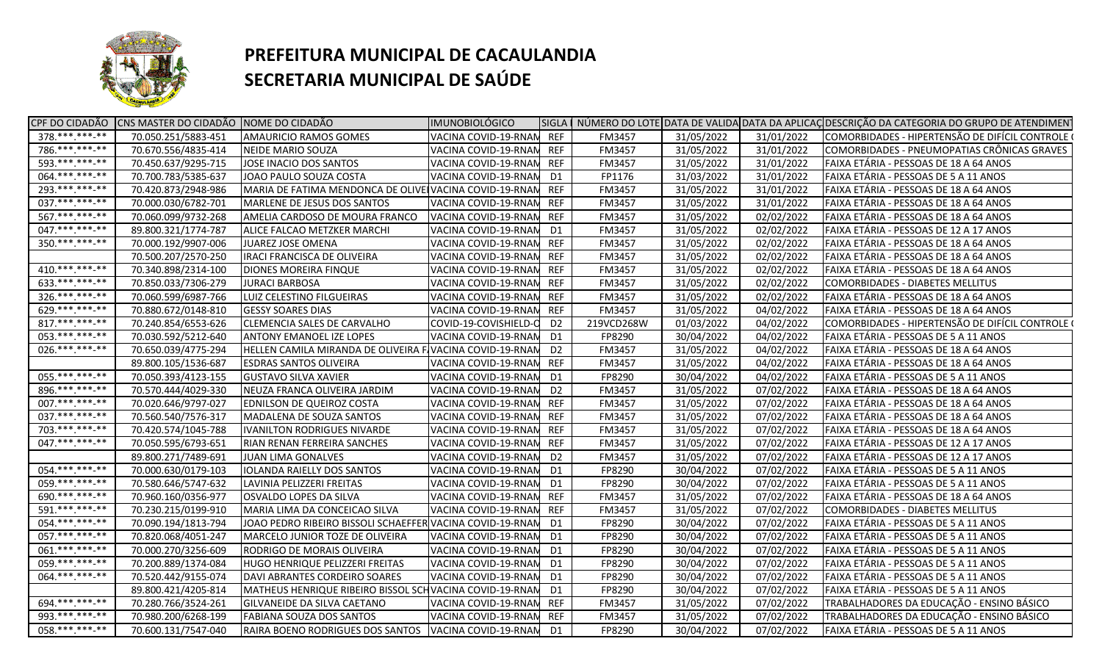

| 70.050.251/5883-451<br>AMAURICIO RAMOS GOMES<br>VACINA COVID-19-RNAN REF<br>FM3457<br>31/05/2022<br>31/01/2022<br>COMORBIDADES - HIPERTENSÃO DE DIFÍCIL CONTROLE (<br>786.*******-**<br>31/05/2022<br>COMORBIDADES - PNEUMOPATIAS CRÔNICAS GRAVES<br>70.670.556/4835-414<br>NEIDE MARIO SOUZA<br>VACINA COVID-19-RNAN<br><b>REF</b><br>FM3457<br>31/01/2022<br>593.***.***-**<br>70.450.637/9295-715<br>VACINA COVID-19-RNAN<br>31/05/2022<br>FAIXA ETÁRIA - PESSOAS DE 18 A 64 ANOS<br>JOSE INACIO DOS SANTOS<br><b>REF</b><br>FM3457<br>31/01/2022<br>064.**********<br>70.700.783/5385-637<br>JOAO PAULO SOUZA COSTA<br>VACINA COVID-19-RNAN<br>FP1176<br>31/03/2022<br>31/01/2022<br>FAIXA ETÁRIA - PESSOAS DE 5 A 11 ANOS<br>D1<br>293. *** *** -**<br>70.420.873/2948-986<br>MARIA DE FATIMA MENDONCA DE OLIVE VACINA COVID-19-RNAN<br>31/05/2022<br>FAIXA ETÁRIA - PESSOAS DE 18 A 64 ANOS<br><b>REF</b><br>FM3457<br>31/01/2022<br>037.******* <sub>**</sub><br>70.000.030/6782-701<br>MARLENE DE JESUS DOS SANTOS<br>VACINA COVID-19-RNAN<br><b>REF</b><br>FM3457<br>31/05/2022<br>31/01/2022<br>FAIXA ETÁRIA - PESSOAS DE 18 A 64 ANOS<br>567.**********<br>70.060.099/9732-268<br>AMELIA CARDOSO DE MOURA FRANCO<br>VACINA COVID-19-RNAM<br><b>REF</b><br>FM3457<br>31/05/2022<br>02/02/2022<br>FAIXA ETÁRIA - PESSOAS DE 18 A 64 ANOS<br>047. *** *** -**<br>89.800.321/1774-787<br>FM3457<br>31/05/2022<br>02/02/2022<br>FAIXA ETÁRIA - PESSOAS DE 12 A 17 ANOS<br>ALICE FALCAO METZKER MARCHI<br>VACINA COVID-19-RNAM<br>D1<br>350.***.***-**<br>70.000.192/9907-006<br><b>REF</b><br>FM3457<br>31/05/2022<br>02/02/2022<br>FAIXA ETÁRIA - PESSOAS DE 18 A 64 ANOS<br>JUAREZ JOSE OMENA<br>VACINA COVID-19-RNAN<br>70.500.207/2570-250<br><b>IRACI FRANCISCA DE OLIVEIRA</b><br>VACINA COVID-19-RNAN<br><b>REF</b><br>FM3457<br>31/05/2022<br>02/02/2022<br>FAIXA ETÁRIA - PESSOAS DE 18 A 64 ANOS<br>$410.*********$<br>70.340.898/2314-100<br>31/05/2022<br>02/02/2022<br>FAIXA ETÁRIA - PESSOAS DE 18 A 64 ANOS<br>DIONES MOREIRA FINQUE<br>VACINA COVID-19-RNAN<br><b>REF</b><br>FM3457<br>$633.*******.**$<br>70.850.033/7306-279<br><b>JURACI BARBOSA</b><br>VACINA COVID-19-RNAM<br><b>REF</b><br>FM3457<br>31/05/2022<br>02/02/2022<br>COMORBIDADES - DIABETES MELLITUS<br>$326.*******-**$<br>70.060.599/6987-766<br>LUIZ CELESTINO FILGUEIRAS<br>31/05/2022<br>FAIXA ETÁRIA - PESSOAS DE 18 A 64 ANOS<br>VACINA COVID-19-RNAM<br>REF<br>FM3457<br>02/02/2022<br>629.*******-**<br>70.880.672/0148-810<br><b>GESSY SOARES DIAS</b><br>VACINA COVID-19-RNAN<br>FM3457<br>31/05/2022<br>04/02/2022<br>FAIXA ETÁRIA - PESSOAS DE 18 A 64 ANOS<br>REF<br>$817$ .***.***.**<br>70.240.854/6553-626<br>CLEMENCIA SALES DE CARVALHO<br>01/03/2022<br>COMORBIDADES - HIPERTENSÃO DE DIFÍCIL CONTROLE (<br>COVID-19-COVISHIELD-C<br>D <sub>2</sub><br>219VCD268W<br>04/02/2022<br>053. *** *** **<br>70.030.592/5212-640<br>30/04/2022<br>FAIXA ETÁRIA - PESSOAS DE 5 A 11 ANOS<br><b>ANTONY EMANOEL IZE LOPES</b><br>VACINA COVID-19-RNAM<br>D1<br>FP8290<br>04/02/2022<br>026.***.***-**<br>70.650.039/4775-294<br>HELLEN CAMILA MIRANDA DE OLIVEIRA F VACINA COVID-19-RNAN<br>31/05/2022<br>FAIXA ETÁRIA - PESSOAS DE 18 A 64 ANOS<br>D <sub>2</sub><br>FM3457<br>04/02/2022<br>31/05/2022<br>FAIXA ETÁRIA - PESSOAS DE 18 A 64 ANOS<br>89.800.105/1536-687<br><b>ESDRAS SANTOS OLIVEIRA</b><br>VACINA COVID-19-RNAM<br>REF<br>FM3457<br>04/02/2022<br>055.*******-**<br>30/04/2022<br>70.050.393/4123-155<br><b>GUSTAVO SILVA XAVIER</b><br>VACINA COVID-19-RNAN<br>FP8290<br>04/02/2022<br>FAIXA ETÁRIA - PESSOAS DE 5 A 11 ANOS<br>D1<br>896.***.***.**<br>31/05/2022<br>70.570.444/4029-330<br>NEUZA FRANCA OLIVEIRA JARDIM<br>D <sub>2</sub><br>FM3457<br>07/02/2022<br>FAIXA ETÁRIA - PESSOAS DE 18 A 64 ANOS<br>VACINA COVID-19-RNAN<br>007. *** *** ***<br><b>REF</b><br>31/05/2022<br>70.020.646/9797-027<br>EDNILSON DE QUEIROZ COSTA<br>VACINA COVID-19-RNAM<br>FM3457<br>07/02/2022<br>FAIXA ETÁRIA - PESSOAS DE 18 A 64 ANOS<br>037. *** *** -**<br>31/05/2022<br>70.560.540/7576-317<br>MADALENA DE SOUZA SANTOS<br>VACINA COVID-19-RNAN<br>FM3457<br>07/02/2022<br>FAIXA ETÁRIA - PESSOAS DE 18 A 64 ANOS<br>REF<br>703. *** *** **<br>70.420.574/1045-788<br>31/05/2022<br>FAIXA ETÁRIA - PESSOAS DE 18 A 64 ANOS<br><b>IVANILTON RODRIGUES NIVARDE</b><br>VACINA COVID-19-RNAM<br>REF<br>FM3457<br>07/02/2022<br>$047.****.***-***$<br>70.050.595/6793-651<br>RIAN RENAN FERREIRA SANCHES<br>VACINA COVID-19-RNAN<br>FM3457<br>31/05/2022<br>07/02/2022<br>FAIXA ETÁRIA - PESSOAS DE 12 A 17 ANOS<br>REF<br>89.800.271/7489-691<br>31/05/2022<br>FAIXA ETÁRIA - PESSOAS DE 12 A 17 ANOS<br><b>JUAN LIMA GONALVES</b><br>VACINA COVID-19-RNAN<br>FM3457<br>07/02/2022<br>D <sub>2</sub><br>054.**********<br>70.000.630/0179-103<br>VACINA COVID-19-RNAN<br>30/04/2022<br>FAIXA ETÁRIA - PESSOAS DE 5 A 11 ANOS<br><b>IOLANDA RAIELLY DOS SANTOS</b><br>D1<br>FP8290<br>07/02/2022<br>059. *** *** **<br>70.580.646/5747-632<br>LAVINIA PELIZZERI FREITAS<br>VACINA COVID-19-RNAN<br>FP8290<br>30/04/2022<br>07/02/2022<br>FAIXA ETÁRIA - PESSOAS DE 5 A 11 ANOS<br>D1<br>690.***.***-**<br>70.960.160/0356-977<br>OSVALDO LOPES DA SILVA<br>VACINA COVID-19-RNAM<br><b>REF</b><br>31/05/2022<br>07/02/2022<br>FAIXA ETÁRIA - PESSOAS DE 18 A 64 ANOS<br><b>FM3457</b><br>591.***.****-**<br>70.230.215/0199-910<br>VACINA COVID-19-RNAN<br><b>REF</b><br>31/05/2022<br>07/02/2022<br>MARIA LIMA DA CONCEICAO SILVA<br><b>FM3457</b><br>COMORBIDADES - DIABETES MELLITUS<br>054. *** *** **<br>70.090.194/1813-794<br>FP8290<br>30/04/2022<br>07/02/2022<br>JOAO PEDRO RIBEIRO BISSOLI SCHAEFFER VACINA COVID-19-RNAN<br>D1<br>FAIXA ETÁRIA - PESSOAS DE 5 A 11 ANOS<br>057. *** *** -**<br>70.820.068/4051-247<br>30/04/2022<br>07/02/2022<br>FAIXA ETÁRIA - PESSOAS DE 5 A 11 ANOS<br>MARCELO JUNIOR TOZE DE OLIVEIRA<br>D1<br>FP8290<br>VACINA COVID-19-RNAN<br>$061.*******.**$<br>70.000.270/3256-609<br>FP8290<br>30/04/2022<br>07/02/2022<br>FAIXA ETÁRIA - PESSOAS DE 5 A 11 ANOS<br>RODRIGO DE MORAIS OLIVEIRA<br>VACINA COVID-19-RNAN<br>D1<br>059.**********<br>70.200.889/1374-084<br>FP8290<br>30/04/2022<br>07/02/2022<br>FAIXA ETÁRIA - PESSOAS DE 5 A 11 ANOS<br>HUGO HENRIQUE PELIZZERI FREITAS<br>VACINA COVID-19-RNAN<br>D1<br>064.**********<br>70.520.442/9155-074<br>VACINA COVID-19-RNAN<br>FP8290<br>30/04/2022<br>FAIXA ETÁRIA - PESSOAS DE 5 A 11 ANOS<br>DAVI ABRANTES CORDEIRO SOARES<br>D <sub>1</sub><br>07/02/2022<br>MATHEUS HENRIQUE RIBEIRO BISSOL SCH VACINA COVID-19-RNAN<br>FAIXA ETÁRIA - PESSOAS DE 5 A 11 ANOS<br>89.800.421/4205-814<br>FP8290<br>30/04/2022<br>07/02/2022<br>D1<br>694.***.***-**<br>70.280.766/3524-261<br>31/05/2022<br>TRABALHADORES DA EDUCAÇÃO - ENSINO BÁSICO<br>GILVANEIDE DA SILVA CAETANO<br>VACINA COVID-19-RNAN REF<br>FM3457<br>07/02/2022<br>993.**********<br>70.980.200/6268-199<br>FABIANA SOUZA DOS SANTOS<br>VACINA COVID-19-RNAM<br><b>REF</b><br>31/05/2022<br>07/02/2022<br>TRABALHADORES DA EDUCAÇÃO - ENSINO BÁSICO<br>FM3457<br>058. *** *** **<br>70.600.131/7547-040<br>30/04/2022<br>FAIXA ETÁRIA - PESSOAS DE 5 A 11 ANOS<br>RAIRA BOENO RODRIGUES DOS SANTOS VACINA COVID-19-RNAN<br>D <sub>1</sub><br>FP8290<br>07/02/2022 |                  | CPF DO CIDADÃO CNS MASTER DO CIDADÃO NOME DO CIDADÃO | <b>IMUNOBIOLÓGICO</b> |  |  | SIGLA   NÚMERO DO LOTE DATA DE VALIDA DATA DA APLICAÇ DESCRIÇÃO DA CATEGORIA DO GRUPO DE ATENDIMENT |
|-----------------------------------------------------------------------------------------------------------------------------------------------------------------------------------------------------------------------------------------------------------------------------------------------------------------------------------------------------------------------------------------------------------------------------------------------------------------------------------------------------------------------------------------------------------------------------------------------------------------------------------------------------------------------------------------------------------------------------------------------------------------------------------------------------------------------------------------------------------------------------------------------------------------------------------------------------------------------------------------------------------------------------------------------------------------------------------------------------------------------------------------------------------------------------------------------------------------------------------------------------------------------------------------------------------------------------------------------------------------------------------------------------------------------------------------------------------------------------------------------------------------------------------------------------------------------------------------------------------------------------------------------------------------------------------------------------------------------------------------------------------------------------------------------------------------------------------------------------------------------------------------------------------------------------------------------------------------------------------------------------------------------------------------------------------------------------------------------------------------------------------------------------------------------------------------------------------------------------------------------------------------------------------------------------------------------------------------------------------------------------------------------------------------------------------------------------------------------------------------------------------------------------------------------------------------------------------------------------------------------------------------------------------------------------------------------------------------------------------------------------------------------------------------------------------------------------------------------------------------------------------------------------------------------------------------------------------------------------------------------------------------------------------------------------------------------------------------------------------------------------------------------------------------------------------------------------------------------------------------------------------------------------------------------------------------------------------------------------------------------------------------------------------------------------------------------------------------------------------------------------------------------------------------------------------------------------------------------------------------------------------------------------------------------------------------------------------------------------------------------------------------------------------------------------------------------------------------------------------------------------------------------------------------------------------------------------------------------------------------------------------------------------------------------------------------------------------------------------------------------------------------------------------------------------------------------------------------------------------------------------------------------------------------------------------------------------------------------------------------------------------------------------------------------------------------------------------------------------------------------------------------------------------------------------------------------------------------------------------------------------------------------------------------------------------------------------------------------------------------------------------------------------------------------------------------------------------------------------------------------------------------------------------------------------------------------------------------------------------------------------------------------------------------------------------------------------------------------------------------------------------------------------------------------------------------------------------------------------------------------------------------------------------------------------------------------------------------------------------------------------------------------------------------------------------------------------------------------------------------------------------------------------------------------------------------------------------------------------------------------------------------------------------------------------------------------------------------------------------------------------------------------------------------------------------------------------------------------------------------------------------------------------------------------------------------------------------------------------------------------------------------------------------------------------------------------------------------------------------------------------------------------------------------------------------------------------------------------------------------------------------------------------------------------------------------------------------------------------------------------------------------------------------------------------------------------------------------------------------------------------------------------------------------------------------------------------------------------------------------------------------------------------------------------------------------------------------------------------------------------------------------------------------------------------------------------------------------------------------------------------------------------------------------------------------------------------------------------------------------------------------------------------------------------------------------------------------------------------------------------------------------------------------------------------------------------------------------------------------------------------------------------------------------------------------------------------------------------------|------------------|------------------------------------------------------|-----------------------|--|--|-----------------------------------------------------------------------------------------------------|
|                                                                                                                                                                                                                                                                                                                                                                                                                                                                                                                                                                                                                                                                                                                                                                                                                                                                                                                                                                                                                                                                                                                                                                                                                                                                                                                                                                                                                                                                                                                                                                                                                                                                                                                                                                                                                                                                                                                                                                                                                                                                                                                                                                                                                                                                                                                                                                                                                                                                                                                                                                                                                                                                                                                                                                                                                                                                                                                                                                                                                                                                                                                                                                                                                                                                                                                                                                                                                                                                                                                                                                                                                                                                                                                                                                                                                                                                                                                                                                                                                                                                                                                                                                                                                                                                                                                                                                                                                                                                                                                                                                                                                                                                                                                                                                                                                                                                                                                                                                                                                                                                                                                                                                                                                                                                                                                                                                                                                                                                                                                                                                                                                                                                                                                                                                                                                                                                                                                                                                                                                                                                                                                                                                                                                                                                                                                                                                                                                                                                                                                                                                                                                                                                                                                                                                                                                                                                                                                                                                                                                                                                                                                                                                                                                                                                                                                                                     | $378.*******-**$ |                                                      |                       |  |  |                                                                                                     |
|                                                                                                                                                                                                                                                                                                                                                                                                                                                                                                                                                                                                                                                                                                                                                                                                                                                                                                                                                                                                                                                                                                                                                                                                                                                                                                                                                                                                                                                                                                                                                                                                                                                                                                                                                                                                                                                                                                                                                                                                                                                                                                                                                                                                                                                                                                                                                                                                                                                                                                                                                                                                                                                                                                                                                                                                                                                                                                                                                                                                                                                                                                                                                                                                                                                                                                                                                                                                                                                                                                                                                                                                                                                                                                                                                                                                                                                                                                                                                                                                                                                                                                                                                                                                                                                                                                                                                                                                                                                                                                                                                                                                                                                                                                                                                                                                                                                                                                                                                                                                                                                                                                                                                                                                                                                                                                                                                                                                                                                                                                                                                                                                                                                                                                                                                                                                                                                                                                                                                                                                                                                                                                                                                                                                                                                                                                                                                                                                                                                                                                                                                                                                                                                                                                                                                                                                                                                                                                                                                                                                                                                                                                                                                                                                                                                                                                                                                     |                  |                                                      |                       |  |  |                                                                                                     |
|                                                                                                                                                                                                                                                                                                                                                                                                                                                                                                                                                                                                                                                                                                                                                                                                                                                                                                                                                                                                                                                                                                                                                                                                                                                                                                                                                                                                                                                                                                                                                                                                                                                                                                                                                                                                                                                                                                                                                                                                                                                                                                                                                                                                                                                                                                                                                                                                                                                                                                                                                                                                                                                                                                                                                                                                                                                                                                                                                                                                                                                                                                                                                                                                                                                                                                                                                                                                                                                                                                                                                                                                                                                                                                                                                                                                                                                                                                                                                                                                                                                                                                                                                                                                                                                                                                                                                                                                                                                                                                                                                                                                                                                                                                                                                                                                                                                                                                                                                                                                                                                                                                                                                                                                                                                                                                                                                                                                                                                                                                                                                                                                                                                                                                                                                                                                                                                                                                                                                                                                                                                                                                                                                                                                                                                                                                                                                                                                                                                                                                                                                                                                                                                                                                                                                                                                                                                                                                                                                                                                                                                                                                                                                                                                                                                                                                                                                     |                  |                                                      |                       |  |  |                                                                                                     |
|                                                                                                                                                                                                                                                                                                                                                                                                                                                                                                                                                                                                                                                                                                                                                                                                                                                                                                                                                                                                                                                                                                                                                                                                                                                                                                                                                                                                                                                                                                                                                                                                                                                                                                                                                                                                                                                                                                                                                                                                                                                                                                                                                                                                                                                                                                                                                                                                                                                                                                                                                                                                                                                                                                                                                                                                                                                                                                                                                                                                                                                                                                                                                                                                                                                                                                                                                                                                                                                                                                                                                                                                                                                                                                                                                                                                                                                                                                                                                                                                                                                                                                                                                                                                                                                                                                                                                                                                                                                                                                                                                                                                                                                                                                                                                                                                                                                                                                                                                                                                                                                                                                                                                                                                                                                                                                                                                                                                                                                                                                                                                                                                                                                                                                                                                                                                                                                                                                                                                                                                                                                                                                                                                                                                                                                                                                                                                                                                                                                                                                                                                                                                                                                                                                                                                                                                                                                                                                                                                                                                                                                                                                                                                                                                                                                                                                                                                     |                  |                                                      |                       |  |  |                                                                                                     |
|                                                                                                                                                                                                                                                                                                                                                                                                                                                                                                                                                                                                                                                                                                                                                                                                                                                                                                                                                                                                                                                                                                                                                                                                                                                                                                                                                                                                                                                                                                                                                                                                                                                                                                                                                                                                                                                                                                                                                                                                                                                                                                                                                                                                                                                                                                                                                                                                                                                                                                                                                                                                                                                                                                                                                                                                                                                                                                                                                                                                                                                                                                                                                                                                                                                                                                                                                                                                                                                                                                                                                                                                                                                                                                                                                                                                                                                                                                                                                                                                                                                                                                                                                                                                                                                                                                                                                                                                                                                                                                                                                                                                                                                                                                                                                                                                                                                                                                                                                                                                                                                                                                                                                                                                                                                                                                                                                                                                                                                                                                                                                                                                                                                                                                                                                                                                                                                                                                                                                                                                                                                                                                                                                                                                                                                                                                                                                                                                                                                                                                                                                                                                                                                                                                                                                                                                                                                                                                                                                                                                                                                                                                                                                                                                                                                                                                                                                     |                  |                                                      |                       |  |  |                                                                                                     |
|                                                                                                                                                                                                                                                                                                                                                                                                                                                                                                                                                                                                                                                                                                                                                                                                                                                                                                                                                                                                                                                                                                                                                                                                                                                                                                                                                                                                                                                                                                                                                                                                                                                                                                                                                                                                                                                                                                                                                                                                                                                                                                                                                                                                                                                                                                                                                                                                                                                                                                                                                                                                                                                                                                                                                                                                                                                                                                                                                                                                                                                                                                                                                                                                                                                                                                                                                                                                                                                                                                                                                                                                                                                                                                                                                                                                                                                                                                                                                                                                                                                                                                                                                                                                                                                                                                                                                                                                                                                                                                                                                                                                                                                                                                                                                                                                                                                                                                                                                                                                                                                                                                                                                                                                                                                                                                                                                                                                                                                                                                                                                                                                                                                                                                                                                                                                                                                                                                                                                                                                                                                                                                                                                                                                                                                                                                                                                                                                                                                                                                                                                                                                                                                                                                                                                                                                                                                                                                                                                                                                                                                                                                                                                                                                                                                                                                                                                     |                  |                                                      |                       |  |  |                                                                                                     |
|                                                                                                                                                                                                                                                                                                                                                                                                                                                                                                                                                                                                                                                                                                                                                                                                                                                                                                                                                                                                                                                                                                                                                                                                                                                                                                                                                                                                                                                                                                                                                                                                                                                                                                                                                                                                                                                                                                                                                                                                                                                                                                                                                                                                                                                                                                                                                                                                                                                                                                                                                                                                                                                                                                                                                                                                                                                                                                                                                                                                                                                                                                                                                                                                                                                                                                                                                                                                                                                                                                                                                                                                                                                                                                                                                                                                                                                                                                                                                                                                                                                                                                                                                                                                                                                                                                                                                                                                                                                                                                                                                                                                                                                                                                                                                                                                                                                                                                                                                                                                                                                                                                                                                                                                                                                                                                                                                                                                                                                                                                                                                                                                                                                                                                                                                                                                                                                                                                                                                                                                                                                                                                                                                                                                                                                                                                                                                                                                                                                                                                                                                                                                                                                                                                                                                                                                                                                                                                                                                                                                                                                                                                                                                                                                                                                                                                                                                     |                  |                                                      |                       |  |  |                                                                                                     |
|                                                                                                                                                                                                                                                                                                                                                                                                                                                                                                                                                                                                                                                                                                                                                                                                                                                                                                                                                                                                                                                                                                                                                                                                                                                                                                                                                                                                                                                                                                                                                                                                                                                                                                                                                                                                                                                                                                                                                                                                                                                                                                                                                                                                                                                                                                                                                                                                                                                                                                                                                                                                                                                                                                                                                                                                                                                                                                                                                                                                                                                                                                                                                                                                                                                                                                                                                                                                                                                                                                                                                                                                                                                                                                                                                                                                                                                                                                                                                                                                                                                                                                                                                                                                                                                                                                                                                                                                                                                                                                                                                                                                                                                                                                                                                                                                                                                                                                                                                                                                                                                                                                                                                                                                                                                                                                                                                                                                                                                                                                                                                                                                                                                                                                                                                                                                                                                                                                                                                                                                                                                                                                                                                                                                                                                                                                                                                                                                                                                                                                                                                                                                                                                                                                                                                                                                                                                                                                                                                                                                                                                                                                                                                                                                                                                                                                                                                     |                  |                                                      |                       |  |  |                                                                                                     |
|                                                                                                                                                                                                                                                                                                                                                                                                                                                                                                                                                                                                                                                                                                                                                                                                                                                                                                                                                                                                                                                                                                                                                                                                                                                                                                                                                                                                                                                                                                                                                                                                                                                                                                                                                                                                                                                                                                                                                                                                                                                                                                                                                                                                                                                                                                                                                                                                                                                                                                                                                                                                                                                                                                                                                                                                                                                                                                                                                                                                                                                                                                                                                                                                                                                                                                                                                                                                                                                                                                                                                                                                                                                                                                                                                                                                                                                                                                                                                                                                                                                                                                                                                                                                                                                                                                                                                                                                                                                                                                                                                                                                                                                                                                                                                                                                                                                                                                                                                                                                                                                                                                                                                                                                                                                                                                                                                                                                                                                                                                                                                                                                                                                                                                                                                                                                                                                                                                                                                                                                                                                                                                                                                                                                                                                                                                                                                                                                                                                                                                                                                                                                                                                                                                                                                                                                                                                                                                                                                                                                                                                                                                                                                                                                                                                                                                                                                     |                  |                                                      |                       |  |  |                                                                                                     |
|                                                                                                                                                                                                                                                                                                                                                                                                                                                                                                                                                                                                                                                                                                                                                                                                                                                                                                                                                                                                                                                                                                                                                                                                                                                                                                                                                                                                                                                                                                                                                                                                                                                                                                                                                                                                                                                                                                                                                                                                                                                                                                                                                                                                                                                                                                                                                                                                                                                                                                                                                                                                                                                                                                                                                                                                                                                                                                                                                                                                                                                                                                                                                                                                                                                                                                                                                                                                                                                                                                                                                                                                                                                                                                                                                                                                                                                                                                                                                                                                                                                                                                                                                                                                                                                                                                                                                                                                                                                                                                                                                                                                                                                                                                                                                                                                                                                                                                                                                                                                                                                                                                                                                                                                                                                                                                                                                                                                                                                                                                                                                                                                                                                                                                                                                                                                                                                                                                                                                                                                                                                                                                                                                                                                                                                                                                                                                                                                                                                                                                                                                                                                                                                                                                                                                                                                                                                                                                                                                                                                                                                                                                                                                                                                                                                                                                                                                     |                  |                                                      |                       |  |  |                                                                                                     |
|                                                                                                                                                                                                                                                                                                                                                                                                                                                                                                                                                                                                                                                                                                                                                                                                                                                                                                                                                                                                                                                                                                                                                                                                                                                                                                                                                                                                                                                                                                                                                                                                                                                                                                                                                                                                                                                                                                                                                                                                                                                                                                                                                                                                                                                                                                                                                                                                                                                                                                                                                                                                                                                                                                                                                                                                                                                                                                                                                                                                                                                                                                                                                                                                                                                                                                                                                                                                                                                                                                                                                                                                                                                                                                                                                                                                                                                                                                                                                                                                                                                                                                                                                                                                                                                                                                                                                                                                                                                                                                                                                                                                                                                                                                                                                                                                                                                                                                                                                                                                                                                                                                                                                                                                                                                                                                                                                                                                                                                                                                                                                                                                                                                                                                                                                                                                                                                                                                                                                                                                                                                                                                                                                                                                                                                                                                                                                                                                                                                                                                                                                                                                                                                                                                                                                                                                                                                                                                                                                                                                                                                                                                                                                                                                                                                                                                                                                     |                  |                                                      |                       |  |  |                                                                                                     |
|                                                                                                                                                                                                                                                                                                                                                                                                                                                                                                                                                                                                                                                                                                                                                                                                                                                                                                                                                                                                                                                                                                                                                                                                                                                                                                                                                                                                                                                                                                                                                                                                                                                                                                                                                                                                                                                                                                                                                                                                                                                                                                                                                                                                                                                                                                                                                                                                                                                                                                                                                                                                                                                                                                                                                                                                                                                                                                                                                                                                                                                                                                                                                                                                                                                                                                                                                                                                                                                                                                                                                                                                                                                                                                                                                                                                                                                                                                                                                                                                                                                                                                                                                                                                                                                                                                                                                                                                                                                                                                                                                                                                                                                                                                                                                                                                                                                                                                                                                                                                                                                                                                                                                                                                                                                                                                                                                                                                                                                                                                                                                                                                                                                                                                                                                                                                                                                                                                                                                                                                                                                                                                                                                                                                                                                                                                                                                                                                                                                                                                                                                                                                                                                                                                                                                                                                                                                                                                                                                                                                                                                                                                                                                                                                                                                                                                                                                     |                  |                                                      |                       |  |  |                                                                                                     |
|                                                                                                                                                                                                                                                                                                                                                                                                                                                                                                                                                                                                                                                                                                                                                                                                                                                                                                                                                                                                                                                                                                                                                                                                                                                                                                                                                                                                                                                                                                                                                                                                                                                                                                                                                                                                                                                                                                                                                                                                                                                                                                                                                                                                                                                                                                                                                                                                                                                                                                                                                                                                                                                                                                                                                                                                                                                                                                                                                                                                                                                                                                                                                                                                                                                                                                                                                                                                                                                                                                                                                                                                                                                                                                                                                                                                                                                                                                                                                                                                                                                                                                                                                                                                                                                                                                                                                                                                                                                                                                                                                                                                                                                                                                                                                                                                                                                                                                                                                                                                                                                                                                                                                                                                                                                                                                                                                                                                                                                                                                                                                                                                                                                                                                                                                                                                                                                                                                                                                                                                                                                                                                                                                                                                                                                                                                                                                                                                                                                                                                                                                                                                                                                                                                                                                                                                                                                                                                                                                                                                                                                                                                                                                                                                                                                                                                                                                     |                  |                                                      |                       |  |  |                                                                                                     |
|                                                                                                                                                                                                                                                                                                                                                                                                                                                                                                                                                                                                                                                                                                                                                                                                                                                                                                                                                                                                                                                                                                                                                                                                                                                                                                                                                                                                                                                                                                                                                                                                                                                                                                                                                                                                                                                                                                                                                                                                                                                                                                                                                                                                                                                                                                                                                                                                                                                                                                                                                                                                                                                                                                                                                                                                                                                                                                                                                                                                                                                                                                                                                                                                                                                                                                                                                                                                                                                                                                                                                                                                                                                                                                                                                                                                                                                                                                                                                                                                                                                                                                                                                                                                                                                                                                                                                                                                                                                                                                                                                                                                                                                                                                                                                                                                                                                                                                                                                                                                                                                                                                                                                                                                                                                                                                                                                                                                                                                                                                                                                                                                                                                                                                                                                                                                                                                                                                                                                                                                                                                                                                                                                                                                                                                                                                                                                                                                                                                                                                                                                                                                                                                                                                                                                                                                                                                                                                                                                                                                                                                                                                                                                                                                                                                                                                                                                     |                  |                                                      |                       |  |  |                                                                                                     |
|                                                                                                                                                                                                                                                                                                                                                                                                                                                                                                                                                                                                                                                                                                                                                                                                                                                                                                                                                                                                                                                                                                                                                                                                                                                                                                                                                                                                                                                                                                                                                                                                                                                                                                                                                                                                                                                                                                                                                                                                                                                                                                                                                                                                                                                                                                                                                                                                                                                                                                                                                                                                                                                                                                                                                                                                                                                                                                                                                                                                                                                                                                                                                                                                                                                                                                                                                                                                                                                                                                                                                                                                                                                                                                                                                                                                                                                                                                                                                                                                                                                                                                                                                                                                                                                                                                                                                                                                                                                                                                                                                                                                                                                                                                                                                                                                                                                                                                                                                                                                                                                                                                                                                                                                                                                                                                                                                                                                                                                                                                                                                                                                                                                                                                                                                                                                                                                                                                                                                                                                                                                                                                                                                                                                                                                                                                                                                                                                                                                                                                                                                                                                                                                                                                                                                                                                                                                                                                                                                                                                                                                                                                                                                                                                                                                                                                                                                     |                  |                                                      |                       |  |  |                                                                                                     |
|                                                                                                                                                                                                                                                                                                                                                                                                                                                                                                                                                                                                                                                                                                                                                                                                                                                                                                                                                                                                                                                                                                                                                                                                                                                                                                                                                                                                                                                                                                                                                                                                                                                                                                                                                                                                                                                                                                                                                                                                                                                                                                                                                                                                                                                                                                                                                                                                                                                                                                                                                                                                                                                                                                                                                                                                                                                                                                                                                                                                                                                                                                                                                                                                                                                                                                                                                                                                                                                                                                                                                                                                                                                                                                                                                                                                                                                                                                                                                                                                                                                                                                                                                                                                                                                                                                                                                                                                                                                                                                                                                                                                                                                                                                                                                                                                                                                                                                                                                                                                                                                                                                                                                                                                                                                                                                                                                                                                                                                                                                                                                                                                                                                                                                                                                                                                                                                                                                                                                                                                                                                                                                                                                                                                                                                                                                                                                                                                                                                                                                                                                                                                                                                                                                                                                                                                                                                                                                                                                                                                                                                                                                                                                                                                                                                                                                                                                     |                  |                                                      |                       |  |  |                                                                                                     |
|                                                                                                                                                                                                                                                                                                                                                                                                                                                                                                                                                                                                                                                                                                                                                                                                                                                                                                                                                                                                                                                                                                                                                                                                                                                                                                                                                                                                                                                                                                                                                                                                                                                                                                                                                                                                                                                                                                                                                                                                                                                                                                                                                                                                                                                                                                                                                                                                                                                                                                                                                                                                                                                                                                                                                                                                                                                                                                                                                                                                                                                                                                                                                                                                                                                                                                                                                                                                                                                                                                                                                                                                                                                                                                                                                                                                                                                                                                                                                                                                                                                                                                                                                                                                                                                                                                                                                                                                                                                                                                                                                                                                                                                                                                                                                                                                                                                                                                                                                                                                                                                                                                                                                                                                                                                                                                                                                                                                                                                                                                                                                                                                                                                                                                                                                                                                                                                                                                                                                                                                                                                                                                                                                                                                                                                                                                                                                                                                                                                                                                                                                                                                                                                                                                                                                                                                                                                                                                                                                                                                                                                                                                                                                                                                                                                                                                                                                     |                  |                                                      |                       |  |  |                                                                                                     |
|                                                                                                                                                                                                                                                                                                                                                                                                                                                                                                                                                                                                                                                                                                                                                                                                                                                                                                                                                                                                                                                                                                                                                                                                                                                                                                                                                                                                                                                                                                                                                                                                                                                                                                                                                                                                                                                                                                                                                                                                                                                                                                                                                                                                                                                                                                                                                                                                                                                                                                                                                                                                                                                                                                                                                                                                                                                                                                                                                                                                                                                                                                                                                                                                                                                                                                                                                                                                                                                                                                                                                                                                                                                                                                                                                                                                                                                                                                                                                                                                                                                                                                                                                                                                                                                                                                                                                                                                                                                                                                                                                                                                                                                                                                                                                                                                                                                                                                                                                                                                                                                                                                                                                                                                                                                                                                                                                                                                                                                                                                                                                                                                                                                                                                                                                                                                                                                                                                                                                                                                                                                                                                                                                                                                                                                                                                                                                                                                                                                                                                                                                                                                                                                                                                                                                                                                                                                                                                                                                                                                                                                                                                                                                                                                                                                                                                                                                     |                  |                                                      |                       |  |  |                                                                                                     |
|                                                                                                                                                                                                                                                                                                                                                                                                                                                                                                                                                                                                                                                                                                                                                                                                                                                                                                                                                                                                                                                                                                                                                                                                                                                                                                                                                                                                                                                                                                                                                                                                                                                                                                                                                                                                                                                                                                                                                                                                                                                                                                                                                                                                                                                                                                                                                                                                                                                                                                                                                                                                                                                                                                                                                                                                                                                                                                                                                                                                                                                                                                                                                                                                                                                                                                                                                                                                                                                                                                                                                                                                                                                                                                                                                                                                                                                                                                                                                                                                                                                                                                                                                                                                                                                                                                                                                                                                                                                                                                                                                                                                                                                                                                                                                                                                                                                                                                                                                                                                                                                                                                                                                                                                                                                                                                                                                                                                                                                                                                                                                                                                                                                                                                                                                                                                                                                                                                                                                                                                                                                                                                                                                                                                                                                                                                                                                                                                                                                                                                                                                                                                                                                                                                                                                                                                                                                                                                                                                                                                                                                                                                                                                                                                                                                                                                                                                     |                  |                                                      |                       |  |  |                                                                                                     |
|                                                                                                                                                                                                                                                                                                                                                                                                                                                                                                                                                                                                                                                                                                                                                                                                                                                                                                                                                                                                                                                                                                                                                                                                                                                                                                                                                                                                                                                                                                                                                                                                                                                                                                                                                                                                                                                                                                                                                                                                                                                                                                                                                                                                                                                                                                                                                                                                                                                                                                                                                                                                                                                                                                                                                                                                                                                                                                                                                                                                                                                                                                                                                                                                                                                                                                                                                                                                                                                                                                                                                                                                                                                                                                                                                                                                                                                                                                                                                                                                                                                                                                                                                                                                                                                                                                                                                                                                                                                                                                                                                                                                                                                                                                                                                                                                                                                                                                                                                                                                                                                                                                                                                                                                                                                                                                                                                                                                                                                                                                                                                                                                                                                                                                                                                                                                                                                                                                                                                                                                                                                                                                                                                                                                                                                                                                                                                                                                                                                                                                                                                                                                                                                                                                                                                                                                                                                                                                                                                                                                                                                                                                                                                                                                                                                                                                                                                     |                  |                                                      |                       |  |  |                                                                                                     |
|                                                                                                                                                                                                                                                                                                                                                                                                                                                                                                                                                                                                                                                                                                                                                                                                                                                                                                                                                                                                                                                                                                                                                                                                                                                                                                                                                                                                                                                                                                                                                                                                                                                                                                                                                                                                                                                                                                                                                                                                                                                                                                                                                                                                                                                                                                                                                                                                                                                                                                                                                                                                                                                                                                                                                                                                                                                                                                                                                                                                                                                                                                                                                                                                                                                                                                                                                                                                                                                                                                                                                                                                                                                                                                                                                                                                                                                                                                                                                                                                                                                                                                                                                                                                                                                                                                                                                                                                                                                                                                                                                                                                                                                                                                                                                                                                                                                                                                                                                                                                                                                                                                                                                                                                                                                                                                                                                                                                                                                                                                                                                                                                                                                                                                                                                                                                                                                                                                                                                                                                                                                                                                                                                                                                                                                                                                                                                                                                                                                                                                                                                                                                                                                                                                                                                                                                                                                                                                                                                                                                                                                                                                                                                                                                                                                                                                                                                     |                  |                                                      |                       |  |  |                                                                                                     |
|                                                                                                                                                                                                                                                                                                                                                                                                                                                                                                                                                                                                                                                                                                                                                                                                                                                                                                                                                                                                                                                                                                                                                                                                                                                                                                                                                                                                                                                                                                                                                                                                                                                                                                                                                                                                                                                                                                                                                                                                                                                                                                                                                                                                                                                                                                                                                                                                                                                                                                                                                                                                                                                                                                                                                                                                                                                                                                                                                                                                                                                                                                                                                                                                                                                                                                                                                                                                                                                                                                                                                                                                                                                                                                                                                                                                                                                                                                                                                                                                                                                                                                                                                                                                                                                                                                                                                                                                                                                                                                                                                                                                                                                                                                                                                                                                                                                                                                                                                                                                                                                                                                                                                                                                                                                                                                                                                                                                                                                                                                                                                                                                                                                                                                                                                                                                                                                                                                                                                                                                                                                                                                                                                                                                                                                                                                                                                                                                                                                                                                                                                                                                                                                                                                                                                                                                                                                                                                                                                                                                                                                                                                                                                                                                                                                                                                                                                     |                  |                                                      |                       |  |  |                                                                                                     |
|                                                                                                                                                                                                                                                                                                                                                                                                                                                                                                                                                                                                                                                                                                                                                                                                                                                                                                                                                                                                                                                                                                                                                                                                                                                                                                                                                                                                                                                                                                                                                                                                                                                                                                                                                                                                                                                                                                                                                                                                                                                                                                                                                                                                                                                                                                                                                                                                                                                                                                                                                                                                                                                                                                                                                                                                                                                                                                                                                                                                                                                                                                                                                                                                                                                                                                                                                                                                                                                                                                                                                                                                                                                                                                                                                                                                                                                                                                                                                                                                                                                                                                                                                                                                                                                                                                                                                                                                                                                                                                                                                                                                                                                                                                                                                                                                                                                                                                                                                                                                                                                                                                                                                                                                                                                                                                                                                                                                                                                                                                                                                                                                                                                                                                                                                                                                                                                                                                                                                                                                                                                                                                                                                                                                                                                                                                                                                                                                                                                                                                                                                                                                                                                                                                                                                                                                                                                                                                                                                                                                                                                                                                                                                                                                                                                                                                                                                     |                  |                                                      |                       |  |  |                                                                                                     |
|                                                                                                                                                                                                                                                                                                                                                                                                                                                                                                                                                                                                                                                                                                                                                                                                                                                                                                                                                                                                                                                                                                                                                                                                                                                                                                                                                                                                                                                                                                                                                                                                                                                                                                                                                                                                                                                                                                                                                                                                                                                                                                                                                                                                                                                                                                                                                                                                                                                                                                                                                                                                                                                                                                                                                                                                                                                                                                                                                                                                                                                                                                                                                                                                                                                                                                                                                                                                                                                                                                                                                                                                                                                                                                                                                                                                                                                                                                                                                                                                                                                                                                                                                                                                                                                                                                                                                                                                                                                                                                                                                                                                                                                                                                                                                                                                                                                                                                                                                                                                                                                                                                                                                                                                                                                                                                                                                                                                                                                                                                                                                                                                                                                                                                                                                                                                                                                                                                                                                                                                                                                                                                                                                                                                                                                                                                                                                                                                                                                                                                                                                                                                                                                                                                                                                                                                                                                                                                                                                                                                                                                                                                                                                                                                                                                                                                                                                     |                  |                                                      |                       |  |  |                                                                                                     |
|                                                                                                                                                                                                                                                                                                                                                                                                                                                                                                                                                                                                                                                                                                                                                                                                                                                                                                                                                                                                                                                                                                                                                                                                                                                                                                                                                                                                                                                                                                                                                                                                                                                                                                                                                                                                                                                                                                                                                                                                                                                                                                                                                                                                                                                                                                                                                                                                                                                                                                                                                                                                                                                                                                                                                                                                                                                                                                                                                                                                                                                                                                                                                                                                                                                                                                                                                                                                                                                                                                                                                                                                                                                                                                                                                                                                                                                                                                                                                                                                                                                                                                                                                                                                                                                                                                                                                                                                                                                                                                                                                                                                                                                                                                                                                                                                                                                                                                                                                                                                                                                                                                                                                                                                                                                                                                                                                                                                                                                                                                                                                                                                                                                                                                                                                                                                                                                                                                                                                                                                                                                                                                                                                                                                                                                                                                                                                                                                                                                                                                                                                                                                                                                                                                                                                                                                                                                                                                                                                                                                                                                                                                                                                                                                                                                                                                                                                     |                  |                                                      |                       |  |  |                                                                                                     |
|                                                                                                                                                                                                                                                                                                                                                                                                                                                                                                                                                                                                                                                                                                                                                                                                                                                                                                                                                                                                                                                                                                                                                                                                                                                                                                                                                                                                                                                                                                                                                                                                                                                                                                                                                                                                                                                                                                                                                                                                                                                                                                                                                                                                                                                                                                                                                                                                                                                                                                                                                                                                                                                                                                                                                                                                                                                                                                                                                                                                                                                                                                                                                                                                                                                                                                                                                                                                                                                                                                                                                                                                                                                                                                                                                                                                                                                                                                                                                                                                                                                                                                                                                                                                                                                                                                                                                                                                                                                                                                                                                                                                                                                                                                                                                                                                                                                                                                                                                                                                                                                                                                                                                                                                                                                                                                                                                                                                                                                                                                                                                                                                                                                                                                                                                                                                                                                                                                                                                                                                                                                                                                                                                                                                                                                                                                                                                                                                                                                                                                                                                                                                                                                                                                                                                                                                                                                                                                                                                                                                                                                                                                                                                                                                                                                                                                                                                     |                  |                                                      |                       |  |  |                                                                                                     |
|                                                                                                                                                                                                                                                                                                                                                                                                                                                                                                                                                                                                                                                                                                                                                                                                                                                                                                                                                                                                                                                                                                                                                                                                                                                                                                                                                                                                                                                                                                                                                                                                                                                                                                                                                                                                                                                                                                                                                                                                                                                                                                                                                                                                                                                                                                                                                                                                                                                                                                                                                                                                                                                                                                                                                                                                                                                                                                                                                                                                                                                                                                                                                                                                                                                                                                                                                                                                                                                                                                                                                                                                                                                                                                                                                                                                                                                                                                                                                                                                                                                                                                                                                                                                                                                                                                                                                                                                                                                                                                                                                                                                                                                                                                                                                                                                                                                                                                                                                                                                                                                                                                                                                                                                                                                                                                                                                                                                                                                                                                                                                                                                                                                                                                                                                                                                                                                                                                                                                                                                                                                                                                                                                                                                                                                                                                                                                                                                                                                                                                                                                                                                                                                                                                                                                                                                                                                                                                                                                                                                                                                                                                                                                                                                                                                                                                                                                     |                  |                                                      |                       |  |  |                                                                                                     |
|                                                                                                                                                                                                                                                                                                                                                                                                                                                                                                                                                                                                                                                                                                                                                                                                                                                                                                                                                                                                                                                                                                                                                                                                                                                                                                                                                                                                                                                                                                                                                                                                                                                                                                                                                                                                                                                                                                                                                                                                                                                                                                                                                                                                                                                                                                                                                                                                                                                                                                                                                                                                                                                                                                                                                                                                                                                                                                                                                                                                                                                                                                                                                                                                                                                                                                                                                                                                                                                                                                                                                                                                                                                                                                                                                                                                                                                                                                                                                                                                                                                                                                                                                                                                                                                                                                                                                                                                                                                                                                                                                                                                                                                                                                                                                                                                                                                                                                                                                                                                                                                                                                                                                                                                                                                                                                                                                                                                                                                                                                                                                                                                                                                                                                                                                                                                                                                                                                                                                                                                                                                                                                                                                                                                                                                                                                                                                                                                                                                                                                                                                                                                                                                                                                                                                                                                                                                                                                                                                                                                                                                                                                                                                                                                                                                                                                                                                     |                  |                                                      |                       |  |  |                                                                                                     |
|                                                                                                                                                                                                                                                                                                                                                                                                                                                                                                                                                                                                                                                                                                                                                                                                                                                                                                                                                                                                                                                                                                                                                                                                                                                                                                                                                                                                                                                                                                                                                                                                                                                                                                                                                                                                                                                                                                                                                                                                                                                                                                                                                                                                                                                                                                                                                                                                                                                                                                                                                                                                                                                                                                                                                                                                                                                                                                                                                                                                                                                                                                                                                                                                                                                                                                                                                                                                                                                                                                                                                                                                                                                                                                                                                                                                                                                                                                                                                                                                                                                                                                                                                                                                                                                                                                                                                                                                                                                                                                                                                                                                                                                                                                                                                                                                                                                                                                                                                                                                                                                                                                                                                                                                                                                                                                                                                                                                                                                                                                                                                                                                                                                                                                                                                                                                                                                                                                                                                                                                                                                                                                                                                                                                                                                                                                                                                                                                                                                                                                                                                                                                                                                                                                                                                                                                                                                                                                                                                                                                                                                                                                                                                                                                                                                                                                                                                     |                  |                                                      |                       |  |  |                                                                                                     |
|                                                                                                                                                                                                                                                                                                                                                                                                                                                                                                                                                                                                                                                                                                                                                                                                                                                                                                                                                                                                                                                                                                                                                                                                                                                                                                                                                                                                                                                                                                                                                                                                                                                                                                                                                                                                                                                                                                                                                                                                                                                                                                                                                                                                                                                                                                                                                                                                                                                                                                                                                                                                                                                                                                                                                                                                                                                                                                                                                                                                                                                                                                                                                                                                                                                                                                                                                                                                                                                                                                                                                                                                                                                                                                                                                                                                                                                                                                                                                                                                                                                                                                                                                                                                                                                                                                                                                                                                                                                                                                                                                                                                                                                                                                                                                                                                                                                                                                                                                                                                                                                                                                                                                                                                                                                                                                                                                                                                                                                                                                                                                                                                                                                                                                                                                                                                                                                                                                                                                                                                                                                                                                                                                                                                                                                                                                                                                                                                                                                                                                                                                                                                                                                                                                                                                                                                                                                                                                                                                                                                                                                                                                                                                                                                                                                                                                                                                     |                  |                                                      |                       |  |  |                                                                                                     |
|                                                                                                                                                                                                                                                                                                                                                                                                                                                                                                                                                                                                                                                                                                                                                                                                                                                                                                                                                                                                                                                                                                                                                                                                                                                                                                                                                                                                                                                                                                                                                                                                                                                                                                                                                                                                                                                                                                                                                                                                                                                                                                                                                                                                                                                                                                                                                                                                                                                                                                                                                                                                                                                                                                                                                                                                                                                                                                                                                                                                                                                                                                                                                                                                                                                                                                                                                                                                                                                                                                                                                                                                                                                                                                                                                                                                                                                                                                                                                                                                                                                                                                                                                                                                                                                                                                                                                                                                                                                                                                                                                                                                                                                                                                                                                                                                                                                                                                                                                                                                                                                                                                                                                                                                                                                                                                                                                                                                                                                                                                                                                                                                                                                                                                                                                                                                                                                                                                                                                                                                                                                                                                                                                                                                                                                                                                                                                                                                                                                                                                                                                                                                                                                                                                                                                                                                                                                                                                                                                                                                                                                                                                                                                                                                                                                                                                                                                     |                  |                                                      |                       |  |  |                                                                                                     |
|                                                                                                                                                                                                                                                                                                                                                                                                                                                                                                                                                                                                                                                                                                                                                                                                                                                                                                                                                                                                                                                                                                                                                                                                                                                                                                                                                                                                                                                                                                                                                                                                                                                                                                                                                                                                                                                                                                                                                                                                                                                                                                                                                                                                                                                                                                                                                                                                                                                                                                                                                                                                                                                                                                                                                                                                                                                                                                                                                                                                                                                                                                                                                                                                                                                                                                                                                                                                                                                                                                                                                                                                                                                                                                                                                                                                                                                                                                                                                                                                                                                                                                                                                                                                                                                                                                                                                                                                                                                                                                                                                                                                                                                                                                                                                                                                                                                                                                                                                                                                                                                                                                                                                                                                                                                                                                                                                                                                                                                                                                                                                                                                                                                                                                                                                                                                                                                                                                                                                                                                                                                                                                                                                                                                                                                                                                                                                                                                                                                                                                                                                                                                                                                                                                                                                                                                                                                                                                                                                                                                                                                                                                                                                                                                                                                                                                                                                     |                  |                                                      |                       |  |  |                                                                                                     |
|                                                                                                                                                                                                                                                                                                                                                                                                                                                                                                                                                                                                                                                                                                                                                                                                                                                                                                                                                                                                                                                                                                                                                                                                                                                                                                                                                                                                                                                                                                                                                                                                                                                                                                                                                                                                                                                                                                                                                                                                                                                                                                                                                                                                                                                                                                                                                                                                                                                                                                                                                                                                                                                                                                                                                                                                                                                                                                                                                                                                                                                                                                                                                                                                                                                                                                                                                                                                                                                                                                                                                                                                                                                                                                                                                                                                                                                                                                                                                                                                                                                                                                                                                                                                                                                                                                                                                                                                                                                                                                                                                                                                                                                                                                                                                                                                                                                                                                                                                                                                                                                                                                                                                                                                                                                                                                                                                                                                                                                                                                                                                                                                                                                                                                                                                                                                                                                                                                                                                                                                                                                                                                                                                                                                                                                                                                                                                                                                                                                                                                                                                                                                                                                                                                                                                                                                                                                                                                                                                                                                                                                                                                                                                                                                                                                                                                                                                     |                  |                                                      |                       |  |  |                                                                                                     |
|                                                                                                                                                                                                                                                                                                                                                                                                                                                                                                                                                                                                                                                                                                                                                                                                                                                                                                                                                                                                                                                                                                                                                                                                                                                                                                                                                                                                                                                                                                                                                                                                                                                                                                                                                                                                                                                                                                                                                                                                                                                                                                                                                                                                                                                                                                                                                                                                                                                                                                                                                                                                                                                                                                                                                                                                                                                                                                                                                                                                                                                                                                                                                                                                                                                                                                                                                                                                                                                                                                                                                                                                                                                                                                                                                                                                                                                                                                                                                                                                                                                                                                                                                                                                                                                                                                                                                                                                                                                                                                                                                                                                                                                                                                                                                                                                                                                                                                                                                                                                                                                                                                                                                                                                                                                                                                                                                                                                                                                                                                                                                                                                                                                                                                                                                                                                                                                                                                                                                                                                                                                                                                                                                                                                                                                                                                                                                                                                                                                                                                                                                                                                                                                                                                                                                                                                                                                                                                                                                                                                                                                                                                                                                                                                                                                                                                                                                     |                  |                                                      |                       |  |  |                                                                                                     |
|                                                                                                                                                                                                                                                                                                                                                                                                                                                                                                                                                                                                                                                                                                                                                                                                                                                                                                                                                                                                                                                                                                                                                                                                                                                                                                                                                                                                                                                                                                                                                                                                                                                                                                                                                                                                                                                                                                                                                                                                                                                                                                                                                                                                                                                                                                                                                                                                                                                                                                                                                                                                                                                                                                                                                                                                                                                                                                                                                                                                                                                                                                                                                                                                                                                                                                                                                                                                                                                                                                                                                                                                                                                                                                                                                                                                                                                                                                                                                                                                                                                                                                                                                                                                                                                                                                                                                                                                                                                                                                                                                                                                                                                                                                                                                                                                                                                                                                                                                                                                                                                                                                                                                                                                                                                                                                                                                                                                                                                                                                                                                                                                                                                                                                                                                                                                                                                                                                                                                                                                                                                                                                                                                                                                                                                                                                                                                                                                                                                                                                                                                                                                                                                                                                                                                                                                                                                                                                                                                                                                                                                                                                                                                                                                                                                                                                                                                     |                  |                                                      |                       |  |  |                                                                                                     |
|                                                                                                                                                                                                                                                                                                                                                                                                                                                                                                                                                                                                                                                                                                                                                                                                                                                                                                                                                                                                                                                                                                                                                                                                                                                                                                                                                                                                                                                                                                                                                                                                                                                                                                                                                                                                                                                                                                                                                                                                                                                                                                                                                                                                                                                                                                                                                                                                                                                                                                                                                                                                                                                                                                                                                                                                                                                                                                                                                                                                                                                                                                                                                                                                                                                                                                                                                                                                                                                                                                                                                                                                                                                                                                                                                                                                                                                                                                                                                                                                                                                                                                                                                                                                                                                                                                                                                                                                                                                                                                                                                                                                                                                                                                                                                                                                                                                                                                                                                                                                                                                                                                                                                                                                                                                                                                                                                                                                                                                                                                                                                                                                                                                                                                                                                                                                                                                                                                                                                                                                                                                                                                                                                                                                                                                                                                                                                                                                                                                                                                                                                                                                                                                                                                                                                                                                                                                                                                                                                                                                                                                                                                                                                                                                                                                                                                                                                     |                  |                                                      |                       |  |  |                                                                                                     |
|                                                                                                                                                                                                                                                                                                                                                                                                                                                                                                                                                                                                                                                                                                                                                                                                                                                                                                                                                                                                                                                                                                                                                                                                                                                                                                                                                                                                                                                                                                                                                                                                                                                                                                                                                                                                                                                                                                                                                                                                                                                                                                                                                                                                                                                                                                                                                                                                                                                                                                                                                                                                                                                                                                                                                                                                                                                                                                                                                                                                                                                                                                                                                                                                                                                                                                                                                                                                                                                                                                                                                                                                                                                                                                                                                                                                                                                                                                                                                                                                                                                                                                                                                                                                                                                                                                                                                                                                                                                                                                                                                                                                                                                                                                                                                                                                                                                                                                                                                                                                                                                                                                                                                                                                                                                                                                                                                                                                                                                                                                                                                                                                                                                                                                                                                                                                                                                                                                                                                                                                                                                                                                                                                                                                                                                                                                                                                                                                                                                                                                                                                                                                                                                                                                                                                                                                                                                                                                                                                                                                                                                                                                                                                                                                                                                                                                                                                     |                  |                                                      |                       |  |  |                                                                                                     |
|                                                                                                                                                                                                                                                                                                                                                                                                                                                                                                                                                                                                                                                                                                                                                                                                                                                                                                                                                                                                                                                                                                                                                                                                                                                                                                                                                                                                                                                                                                                                                                                                                                                                                                                                                                                                                                                                                                                                                                                                                                                                                                                                                                                                                                                                                                                                                                                                                                                                                                                                                                                                                                                                                                                                                                                                                                                                                                                                                                                                                                                                                                                                                                                                                                                                                                                                                                                                                                                                                                                                                                                                                                                                                                                                                                                                                                                                                                                                                                                                                                                                                                                                                                                                                                                                                                                                                                                                                                                                                                                                                                                                                                                                                                                                                                                                                                                                                                                                                                                                                                                                                                                                                                                                                                                                                                                                                                                                                                                                                                                                                                                                                                                                                                                                                                                                                                                                                                                                                                                                                                                                                                                                                                                                                                                                                                                                                                                                                                                                                                                                                                                                                                                                                                                                                                                                                                                                                                                                                                                                                                                                                                                                                                                                                                                                                                                                                     |                  |                                                      |                       |  |  |                                                                                                     |